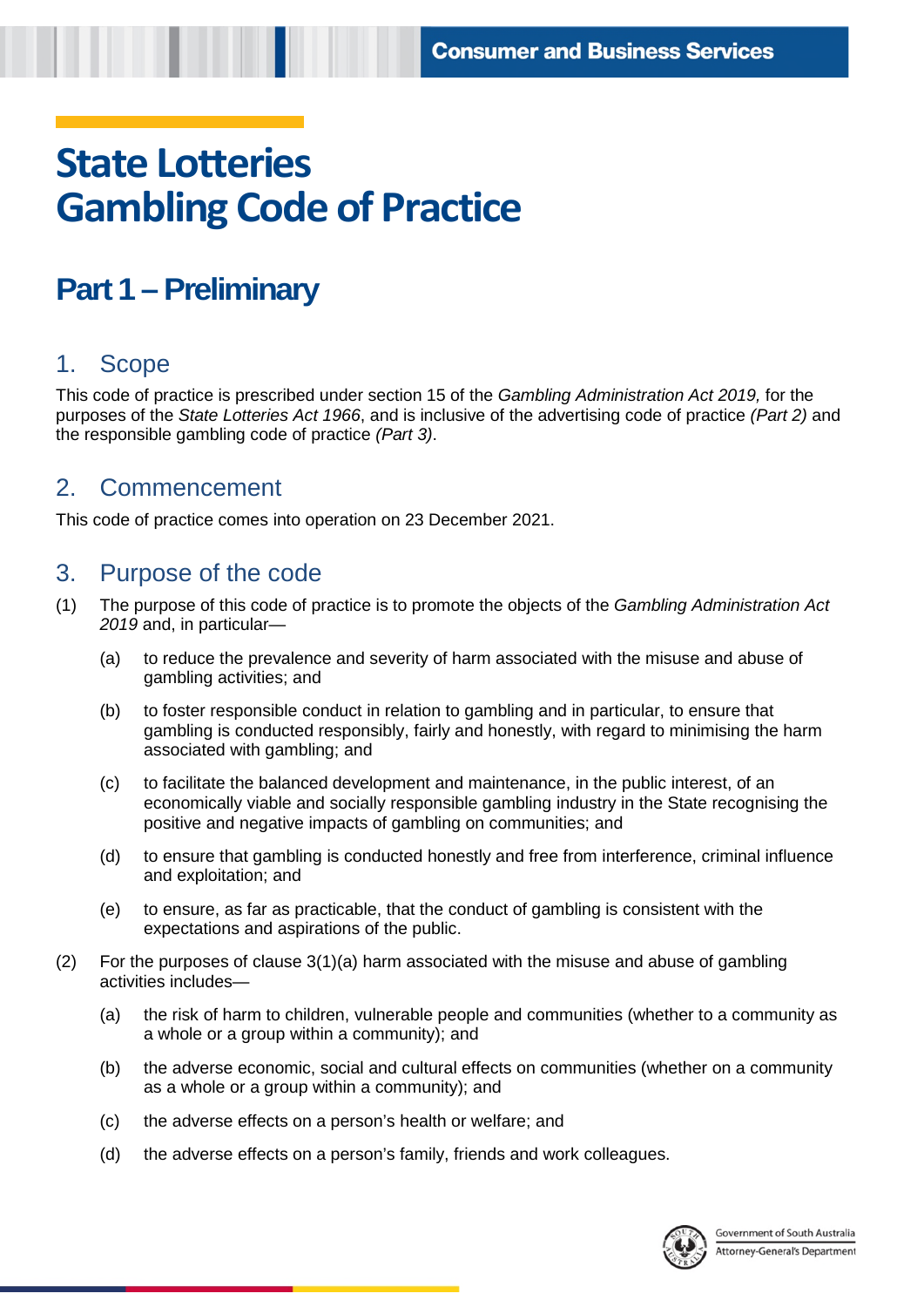# **State Lotteries Gambling Code of Practice**

# **Part 1 – Preliminary**

#### 1. Scope

This code of practice is prescribed under section 15 of the *Gambling Administration Act 2019,* for the purposes of the *State Lotteries Act 1966*, and is inclusive of the advertising code of practice *(Part 2)* and the responsible gambling code of practice *(Part 3)*.

#### 2. Commencement

This code of practice comes into operation on 23 December 2021.

#### 3. Purpose of the code

- (1) The purpose of this code of practice is to promote the objects of the *Gambling Administration Act 2019* and, in particular—
	- (a) to reduce the prevalence and severity of harm associated with the misuse and abuse of gambling activities; and
	- (b) to foster responsible conduct in relation to gambling and in particular, to ensure that gambling is conducted responsibly, fairly and honestly, with regard to minimising the harm associated with gambling; and
	- (c) to facilitate the balanced development and maintenance, in the public interest, of an economically viable and socially responsible gambling industry in the State recognising the positive and negative impacts of gambling on communities; and
	- (d) to ensure that gambling is conducted honestly and free from interference, criminal influence and exploitation; and
	- (e) to ensure, as far as practicable, that the conduct of gambling is consistent with the expectations and aspirations of the public.
- (2) For the purposes of clause 3(1)(a) harm associated with the misuse and abuse of gambling activities includes—
	- (a) the risk of harm to children, vulnerable people and communities (whether to a community as a whole or a group within a community); and
	- (b) the adverse economic, social and cultural effects on communities (whether on a community as a whole or a group within a community); and
	- (c) the adverse effects on a person's health or welfare; and
	- (d) the adverse effects on a person's family, friends and work colleagues.

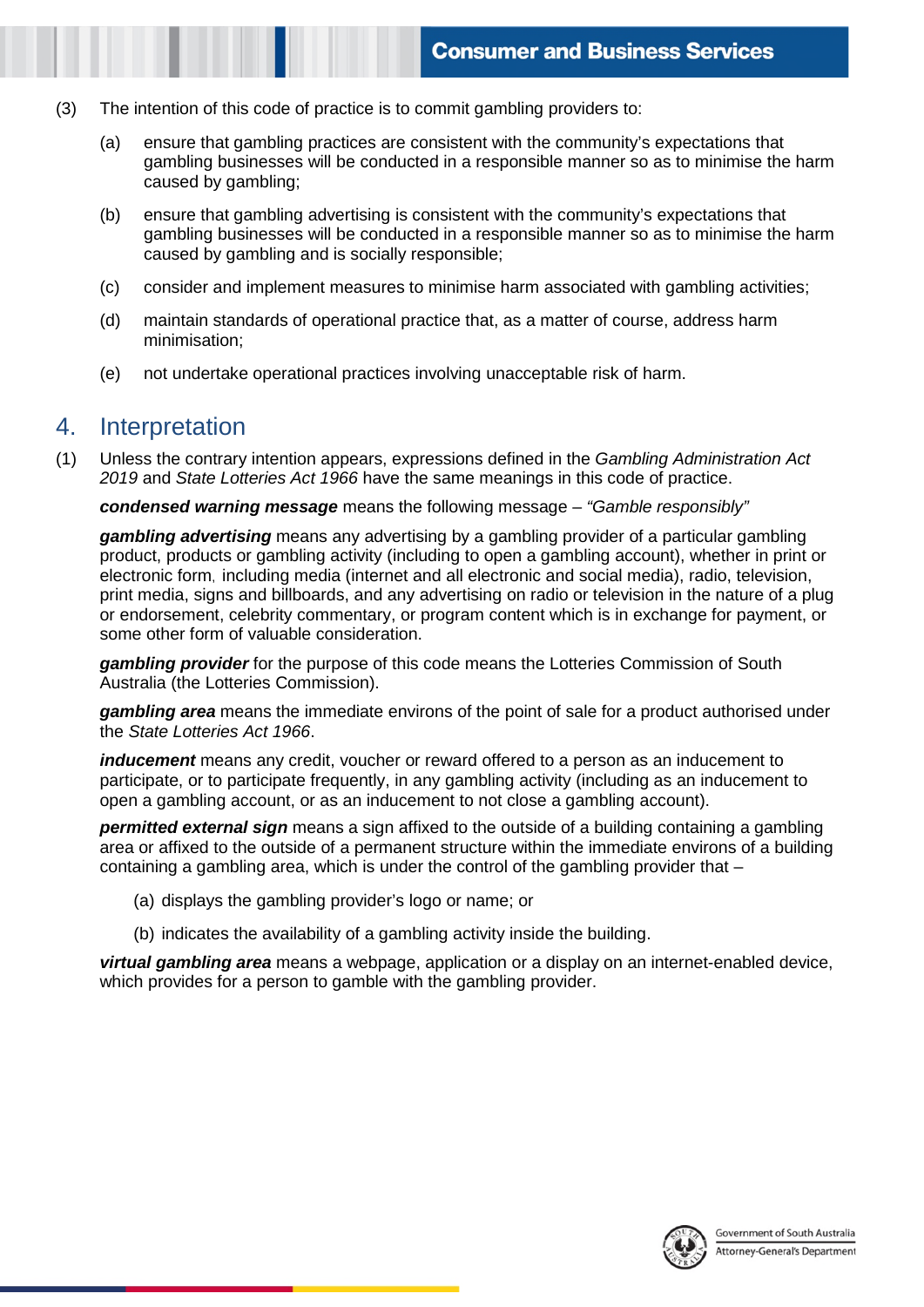- (3) The intention of this code of practice is to commit gambling providers to:
	- (a) ensure that gambling practices are consistent with the community's expectations that gambling businesses will be conducted in a responsible manner so as to minimise the harm caused by gambling;
	- (b) ensure that gambling advertising is consistent with the community's expectations that gambling businesses will be conducted in a responsible manner so as to minimise the harm caused by gambling and is socially responsible;
	- (c) consider and implement measures to minimise harm associated with gambling activities;
	- (d) maintain standards of operational practice that, as a matter of course, address harm minimisation;
	- (e) not undertake operational practices involving unacceptable risk of harm.

### 4. Interpretation

(1) Unless the contrary intention appears, expressions defined in the *Gambling Administration Act 2019* and *State Lotteries Act 1966* have the same meanings in this code of practice.

*condensed warning message* means the following message – *"Gamble responsibly"* 

*gambling advertising* means any advertising by a gambling provider of a particular gambling product, products or gambling activity (including to open a gambling account), whether in print or electronic form, including media (internet and all electronic and social media), radio, television, print media, signs and billboards, and any advertising on radio or television in the nature of a plug or endorsement, celebrity commentary, or program content which is in exchange for payment, or some other form of valuable consideration.

*gambling provider* for the purpose of this code means the Lotteries Commission of South Australia (the Lotteries Commission).

*gambling area* means the immediate environs of the point of sale for a product authorised under the *State Lotteries Act 1966*.

*inducement* means any credit, voucher or reward offered to a person as an inducement to participate, or to participate frequently, in any gambling activity (including as an inducement to open a gambling account, or as an inducement to not close a gambling account).

*permitted external sign* means a sign affixed to the outside of a building containing a gambling area or affixed to the outside of a permanent structure within the immediate environs of a building containing a gambling area, which is under the control of the gambling provider that –

- (a) displays the gambling provider's logo or name; or
- (b) indicates the availability of a gambling activity inside the building.

*virtual gambling area* means a webpage, application or a display on an internet-enabled device, which provides for a person to gamble with the gambling provider.

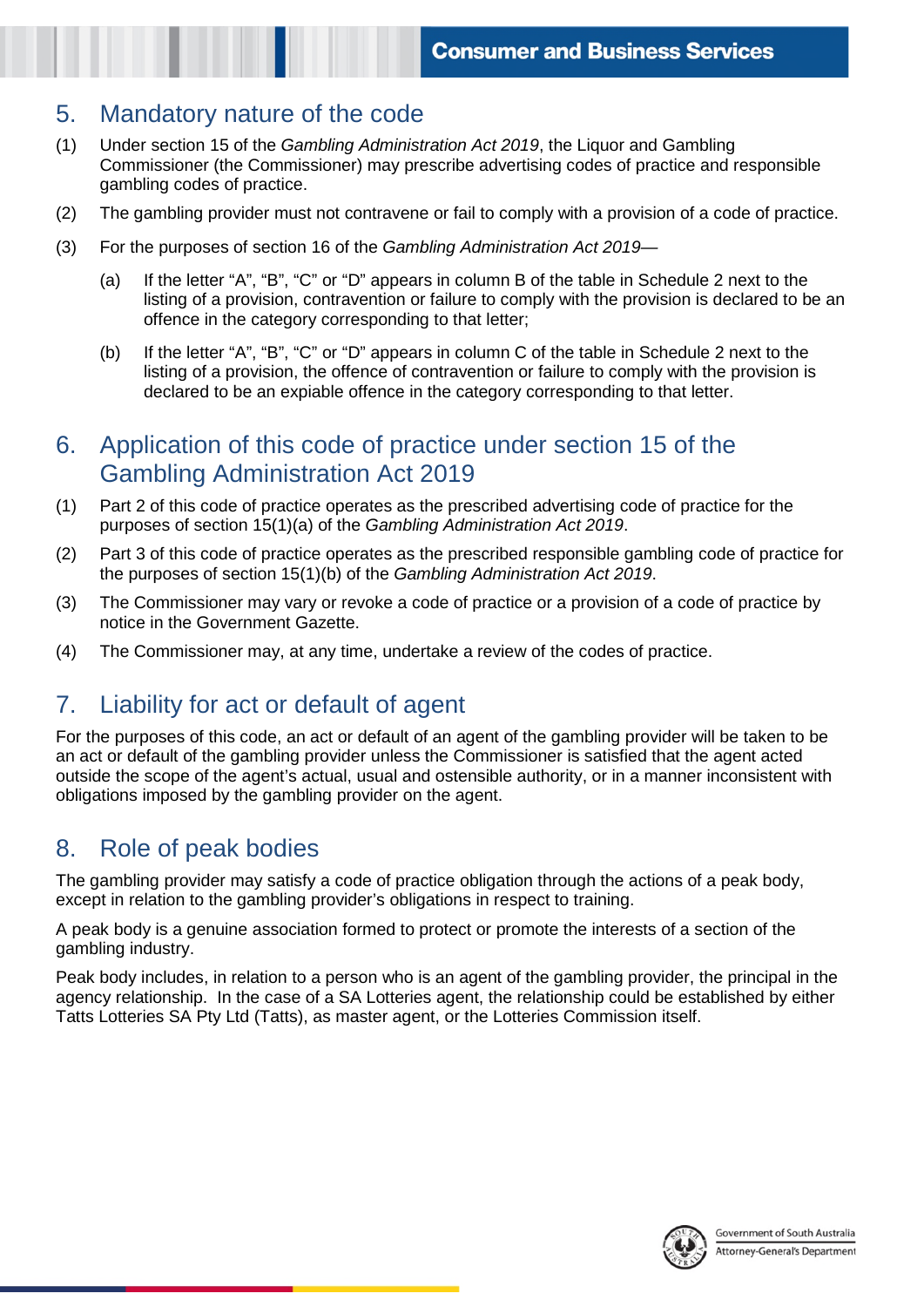#### 5. Mandatory nature of the code

- (1) Under section 15 of the *Gambling Administration Act 2019*, the Liquor and Gambling Commissioner (the Commissioner) may prescribe advertising codes of practice and responsible gambling codes of practice.
- (2) The gambling provider must not contravene or fail to comply with a provision of a code of practice.
- (3) For the purposes of section 16 of the *Gambling Administration Act 2019—*
	- (a) If the letter "A", "B", "C" or "D" appears in column B of the table in Schedule 2 next to the listing of a provision, contravention or failure to comply with the provision is declared to be an offence in the category corresponding to that letter;
	- (b) If the letter "A", "B", "C" or "D" appears in column C of the table in Schedule 2 next to the listing of a provision, the offence of contravention or failure to comply with the provision is declared to be an expiable offence in the category corresponding to that letter.

#### 6. Application of this code of practice under section 15 of the Gambling Administration Act 2019

- (1) Part 2 of this code of practice operates as the prescribed advertising code of practice for the purposes of section 15(1)(a) of the *Gambling Administration Act 2019*.
- (2) Part 3 of this code of practice operates as the prescribed responsible gambling code of practice for the purposes of section 15(1)(b) of the *Gambling Administration Act 2019*.
- (3) The Commissioner may vary or revoke a code of practice or a provision of a code of practice by notice in the Government Gazette.
- (4) The Commissioner may, at any time, undertake a review of the codes of practice.

# 7. Liability for act or default of agent

For the purposes of this code, an act or default of an agent of the gambling provider will be taken to be an act or default of the gambling provider unless the Commissioner is satisfied that the agent acted outside the scope of the agent's actual, usual and ostensible authority, or in a manner inconsistent with obligations imposed by the gambling provider on the agent.

# 8. Role of peak bodies

The gambling provider may satisfy a code of practice obligation through the actions of a peak body, except in relation to the gambling provider's obligations in respect to training.

A peak body is a genuine association formed to protect or promote the interests of a section of the gambling industry.

Peak body includes, in relation to a person who is an agent of the gambling provider, the principal in the agency relationship. In the case of a SA Lotteries agent, the relationship could be established by either Tatts Lotteries SA Pty Ltd (Tatts), as master agent, or the Lotteries Commission itself.

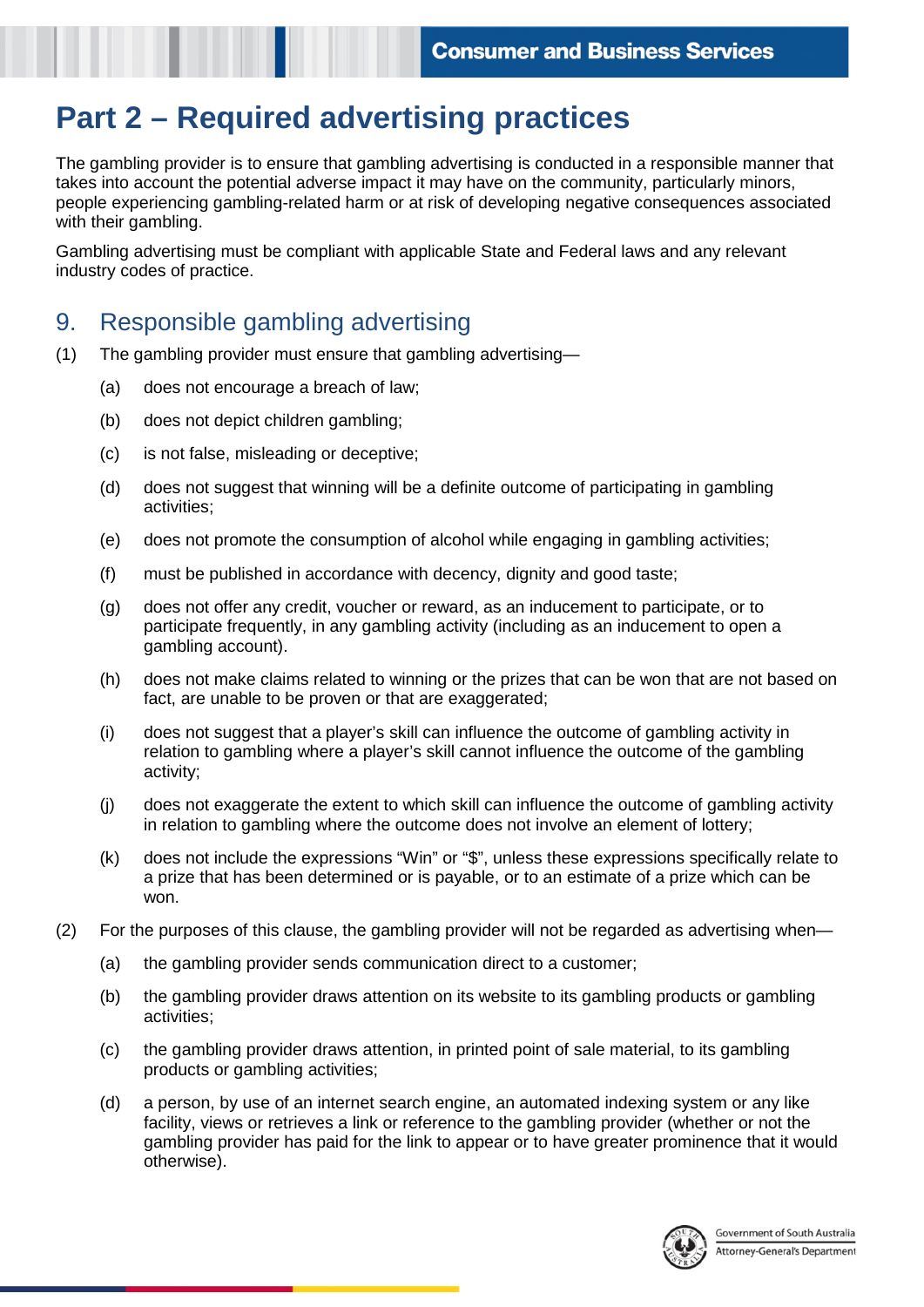# **Part 2 – Required advertising practices**

The gambling provider is to ensure that gambling advertising is conducted in a responsible manner that takes into account the potential adverse impact it may have on the community, particularly minors, people experiencing gambling-related harm or at risk of developing negative consequences associated with their gambling.

Gambling advertising must be compliant with applicable State and Federal laws and any relevant industry codes of practice.

#### 9. Responsible gambling advertising

- (1) The gambling provider must ensure that gambling advertising—
	- (a) does not encourage a breach of law;
	- (b) does not depict children gambling;
	- (c) is not false, misleading or deceptive;
	- (d) does not suggest that winning will be a definite outcome of participating in gambling activities;
	- (e) does not promote the consumption of alcohol while engaging in gambling activities;
	- (f) must be published in accordance with decency, dignity and good taste;
	- (g) does not offer any credit, voucher or reward, as an inducement to participate, or to participate frequently, in any gambling activity (including as an inducement to open a gambling account).
	- (h) does not make claims related to winning or the prizes that can be won that are not based on fact, are unable to be proven or that are exaggerated;
	- (i) does not suggest that a player's skill can influence the outcome of gambling activity in relation to gambling where a player's skill cannot influence the outcome of the gambling activity;
	- (j) does not exaggerate the extent to which skill can influence the outcome of gambling activity in relation to gambling where the outcome does not involve an element of lottery;
	- (k) does not include the expressions "Win" or "\$", unless these expressions specifically relate to a prize that has been determined or is payable, or to an estimate of a prize which can be won.
- (2) For the purposes of this clause, the gambling provider will not be regarded as advertising when—
	- (a) the gambling provider sends communication direct to a customer;
	- (b) the gambling provider draws attention on its website to its gambling products or gambling activities;
	- (c) the gambling provider draws attention, in printed point of sale material, to its gambling products or gambling activities;
	- (d) a person, by use of an internet search engine, an automated indexing system or any like facility, views or retrieves a link or reference to the gambling provider (whether or not the gambling provider has paid for the link to appear or to have greater prominence that it would otherwise).

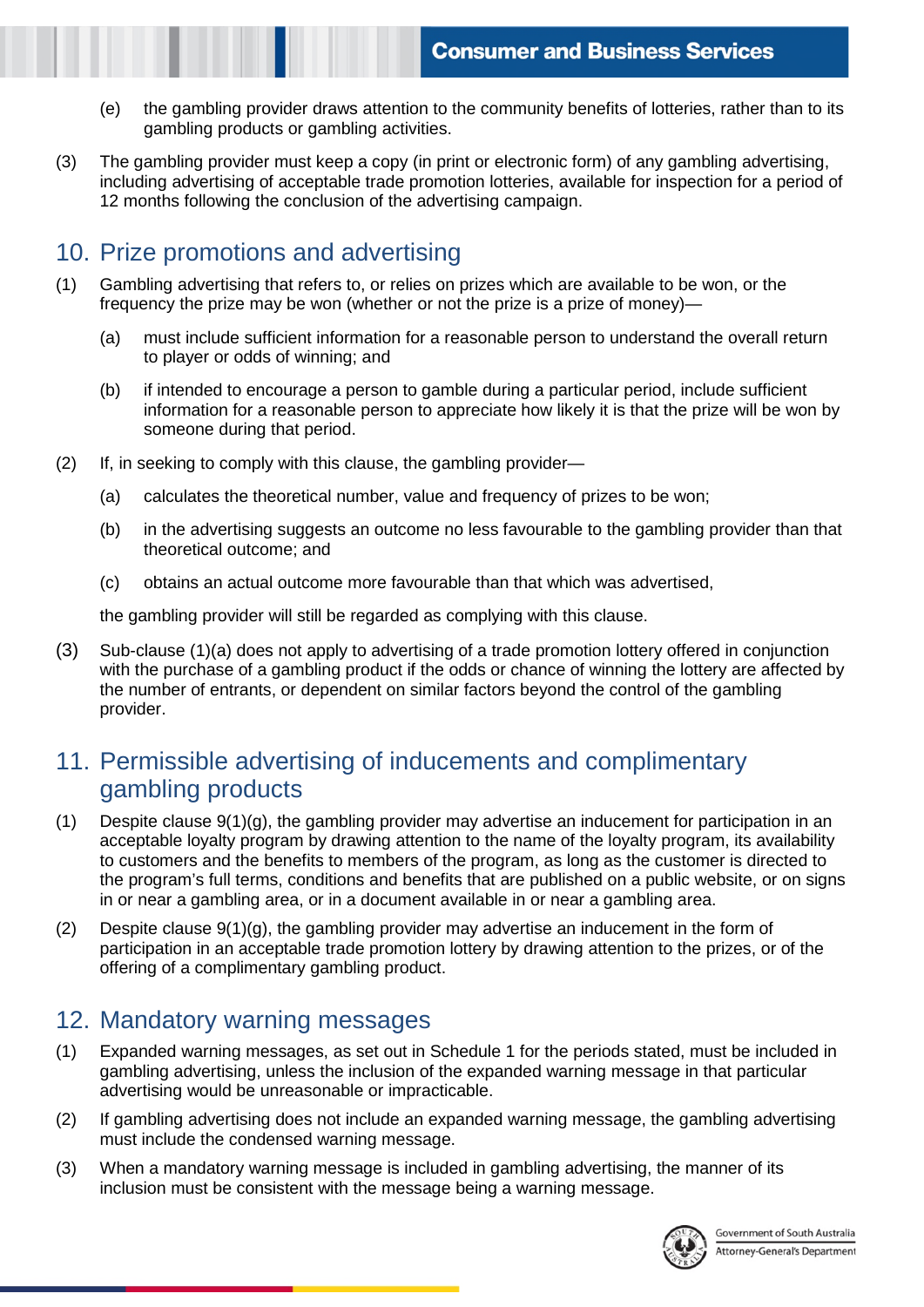- (e) the gambling provider draws attention to the community benefits of lotteries, rather than to its gambling products or gambling activities.
- (3) The gambling provider must keep a copy (in print or electronic form) of any gambling advertising, including advertising of acceptable trade promotion lotteries, available for inspection for a period of 12 months following the conclusion of the advertising campaign.

# 10. Prize promotions and advertising

- (1) Gambling advertising that refers to, or relies on prizes which are available to be won, or the frequency the prize may be won (whether or not the prize is a prize of money)—
	- (a) must include sufficient information for a reasonable person to understand the overall return to player or odds of winning; and
	- (b) if intended to encourage a person to gamble during a particular period, include sufficient information for a reasonable person to appreciate how likely it is that the prize will be won by someone during that period.
- (2) If, in seeking to comply with this clause, the gambling provider—
	- (a) calculates the theoretical number, value and frequency of prizes to be won;
	- (b) in the advertising suggests an outcome no less favourable to the gambling provider than that theoretical outcome; and
	- (c) obtains an actual outcome more favourable than that which was advertised,

the gambling provider will still be regarded as complying with this clause.

(3) Sub-clause (1)(a) does not apply to advertising of a trade promotion lottery offered in conjunction with the purchase of a gambling product if the odds or chance of winning the lottery are affected by the number of entrants, or dependent on similar factors beyond the control of the gambling provider.

### 11. Permissible advertising of inducements and complimentary gambling products

- (1) Despite clause 9(1)(g), the gambling provider may advertise an inducement for participation in an acceptable loyalty program by drawing attention to the name of the loyalty program, its availability to customers and the benefits to members of the program, as long as the customer is directed to the program's full terms, conditions and benefits that are published on a public website, or on signs in or near a gambling area, or in a document available in or near a gambling area.
- (2) Despite clause 9(1)(g), the gambling provider may advertise an inducement in the form of participation in an acceptable trade promotion lottery by drawing attention to the prizes, or of the offering of a complimentary gambling product.

#### 12. Mandatory warning messages

- (1) Expanded warning messages, as set out in Schedule 1 for the periods stated, must be included in gambling advertising, unless the inclusion of the expanded warning message in that particular advertising would be unreasonable or impracticable.
- (2) If gambling advertising does not include an expanded warning message, the gambling advertising must include the condensed warning message.
- (3) When a mandatory warning message is included in gambling advertising, the manner of its inclusion must be consistent with the message being a warning message.

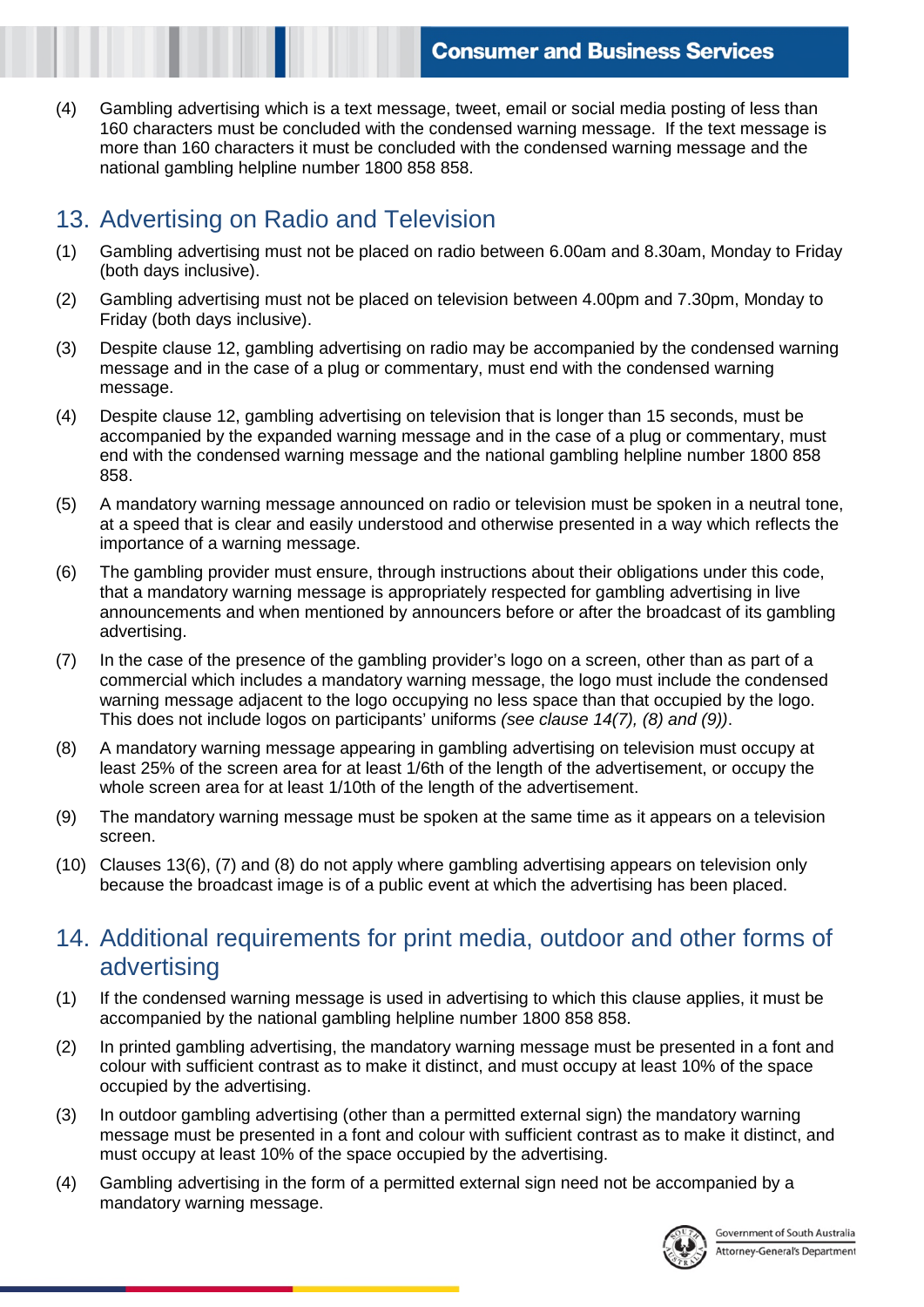(4) Gambling advertising which is a text message, tweet, email or social media posting of less than 160 characters must be concluded with the condensed warning message. If the text message is more than 160 characters it must be concluded with the condensed warning message and the national gambling helpline number 1800 858 858.

# 13. Advertising on Radio and Television

- (1) Gambling advertising must not be placed on radio between 6.00am and 8.30am, Monday to Friday (both days inclusive).
- (2) Gambling advertising must not be placed on television between 4.00pm and 7.30pm, Monday to Friday (both days inclusive).
- (3) Despite clause 12, gambling advertising on radio may be accompanied by the condensed warning message and in the case of a plug or commentary, must end with the condensed warning message.
- (4) Despite clause 12, gambling advertising on television that is longer than 15 seconds, must be accompanied by the expanded warning message and in the case of a plug or commentary, must end with the condensed warning message and the national gambling helpline number 1800 858 858.
- (5) A mandatory warning message announced on radio or television must be spoken in a neutral tone, at a speed that is clear and easily understood and otherwise presented in a way which reflects the importance of a warning message.
- (6) The gambling provider must ensure, through instructions about their obligations under this code, that a mandatory warning message is appropriately respected for gambling advertising in live announcements and when mentioned by announcers before or after the broadcast of its gambling advertising.
- (7) In the case of the presence of the gambling provider's logo on a screen, other than as part of a commercial which includes a mandatory warning message, the logo must include the condensed warning message adjacent to the logo occupying no less space than that occupied by the logo. This does not include logos on participants' uniforms *(see clause 14(7), (8) and (9))*.
- (8) A mandatory warning message appearing in gambling advertising on television must occupy at least 25% of the screen area for at least 1/6th of the length of the advertisement, or occupy the whole screen area for at least 1/10th of the length of the advertisement.
- (9) The mandatory warning message must be spoken at the same time as it appears on a television screen.
- (10) Clauses 13(6), (7) and (8) do not apply where gambling advertising appears on television only because the broadcast image is of a public event at which the advertising has been placed.

#### 14. Additional requirements for print media, outdoor and other forms of advertising

- (1) If the condensed warning message is used in advertising to which this clause applies, it must be accompanied by the national gambling helpline number 1800 858 858.
- (2) In printed gambling advertising, the mandatory warning message must be presented in a font and colour with sufficient contrast as to make it distinct, and must occupy at least 10% of the space occupied by the advertising.
- (3) In outdoor gambling advertising (other than a permitted external sign) the mandatory warning message must be presented in a font and colour with sufficient contrast as to make it distinct, and must occupy at least 10% of the space occupied by the advertising.
- (4) Gambling advertising in the form of a permitted external sign need not be accompanied by a mandatory warning message.

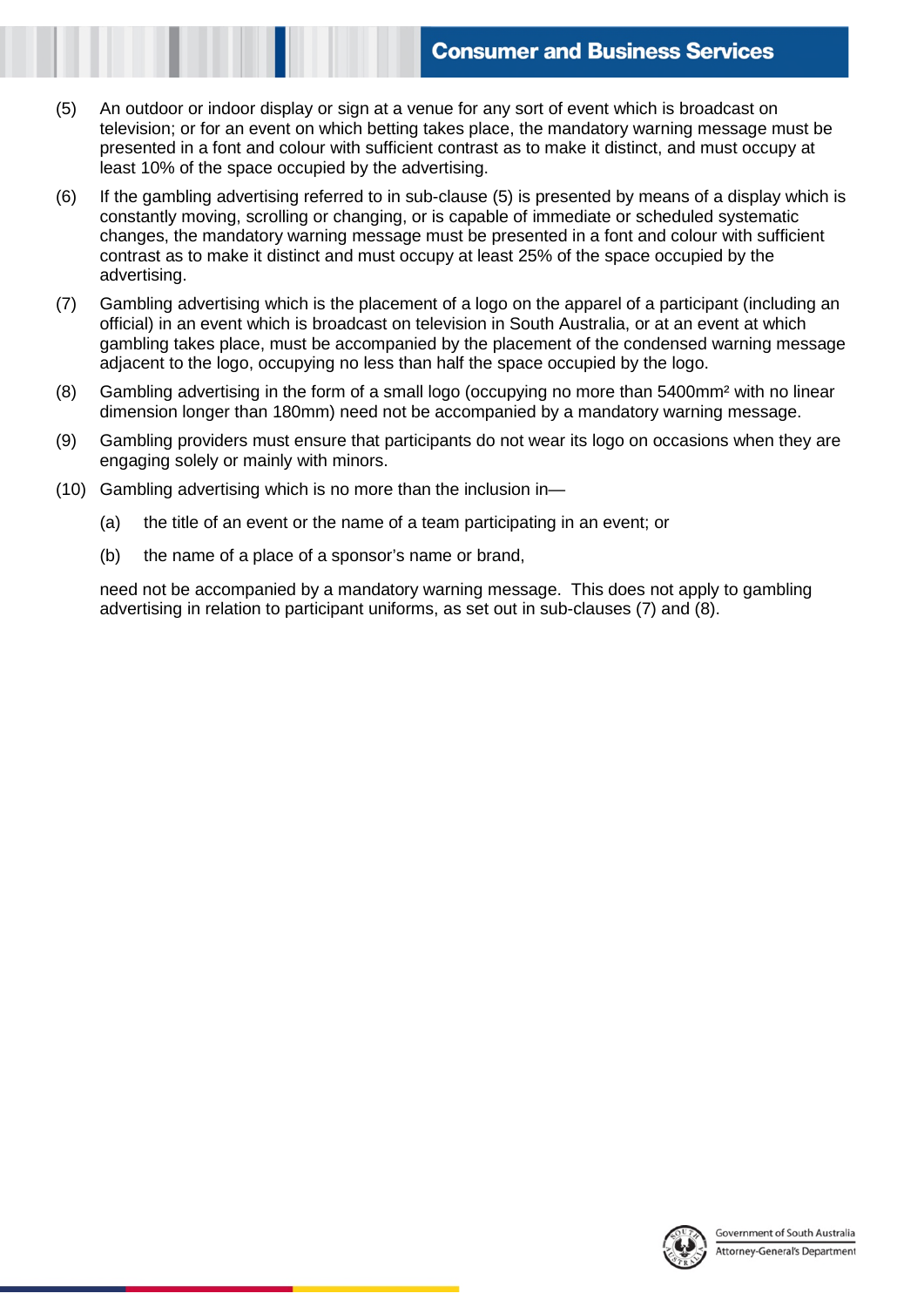- (5) An outdoor or indoor display or sign at a venue for any sort of event which is broadcast on television; or for an event on which betting takes place, the mandatory warning message must be presented in a font and colour with sufficient contrast as to make it distinct, and must occupy at least 10% of the space occupied by the advertising.
- (6) If the gambling advertising referred to in sub-clause (5) is presented by means of a display which is constantly moving, scrolling or changing, or is capable of immediate or scheduled systematic changes, the mandatory warning message must be presented in a font and colour with sufficient contrast as to make it distinct and must occupy at least 25% of the space occupied by the advertising.
- (7) Gambling advertising which is the placement of a logo on the apparel of a participant (including an official) in an event which is broadcast on television in South Australia, or at an event at which gambling takes place, must be accompanied by the placement of the condensed warning message adjacent to the logo, occupying no less than half the space occupied by the logo.
- (8) Gambling advertising in the form of a small logo (occupying no more than 5400mm² with no linear dimension longer than 180mm) need not be accompanied by a mandatory warning message.
- (9) Gambling providers must ensure that participants do not wear its logo on occasions when they are engaging solely or mainly with minors.
- (10) Gambling advertising which is no more than the inclusion in—
	- (a) the title of an event or the name of a team participating in an event; or
	- (b) the name of a place of a sponsor's name or brand,

need not be accompanied by a mandatory warning message. This does not apply to gambling advertising in relation to participant uniforms, as set out in sub-clauses (7) and (8).

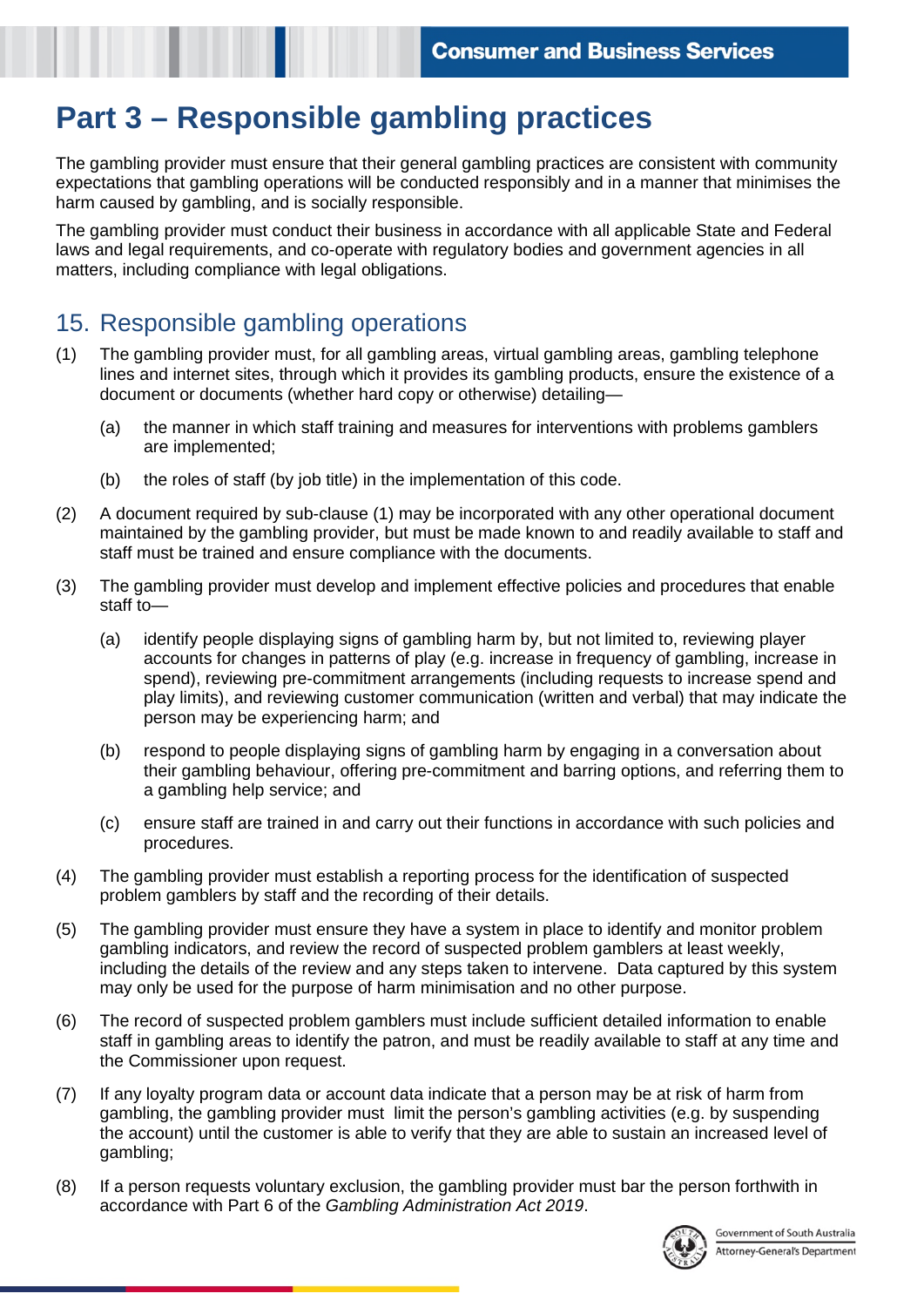# **Part 3 – Responsible gambling practices**

The gambling provider must ensure that their general gambling practices are consistent with community expectations that gambling operations will be conducted responsibly and in a manner that minimises the harm caused by gambling, and is socially responsible.

The gambling provider must conduct their business in accordance with all applicable State and Federal laws and legal requirements, and co-operate with regulatory bodies and government agencies in all matters, including compliance with legal obligations.

#### 15. Responsible gambling operations

- (1) The gambling provider must, for all gambling areas, virtual gambling areas, gambling telephone lines and internet sites, through which it provides its gambling products, ensure the existence of a document or documents (whether hard copy or otherwise) detailing—
	- (a) the manner in which staff training and measures for interventions with problems gamblers are implemented;
	- (b) the roles of staff (by job title) in the implementation of this code.
- (2) A document required by sub-clause (1) may be incorporated with any other operational document maintained by the gambling provider, but must be made known to and readily available to staff and staff must be trained and ensure compliance with the documents.
- (3) The gambling provider must develop and implement effective policies and procedures that enable staff to—
	- (a) identify people displaying signs of gambling harm by, but not limited to, reviewing player accounts for changes in patterns of play (e.g. increase in frequency of gambling, increase in spend), reviewing pre-commitment arrangements (including requests to increase spend and play limits), and reviewing customer communication (written and verbal) that may indicate the person may be experiencing harm; and
	- (b) respond to people displaying signs of gambling harm by engaging in a conversation about their gambling behaviour, offering pre-commitment and barring options, and referring them to a gambling help service; and
	- (c) ensure staff are trained in and carry out their functions in accordance with such policies and procedures.
- (4) The gambling provider must establish a reporting process for the identification of suspected problem gamblers by staff and the recording of their details.
- (5) The gambling provider must ensure they have a system in place to identify and monitor problem gambling indicators, and review the record of suspected problem gamblers at least weekly, including the details of the review and any steps taken to intervene. Data captured by this system may only be used for the purpose of harm minimisation and no other purpose.
- (6) The record of suspected problem gamblers must include sufficient detailed information to enable staff in gambling areas to identify the patron, and must be readily available to staff at any time and the Commissioner upon request.
- (7) If any loyalty program data or account data indicate that a person may be at risk of harm from gambling, the gambling provider must limit the person's gambling activities (e.g. by suspending the account) until the customer is able to verify that they are able to sustain an increased level of gambling;
- (8) If a person requests voluntary exclusion, the gambling provider must bar the person forthwith in accordance with Part 6 of the *Gambling Administration Act 2019*.

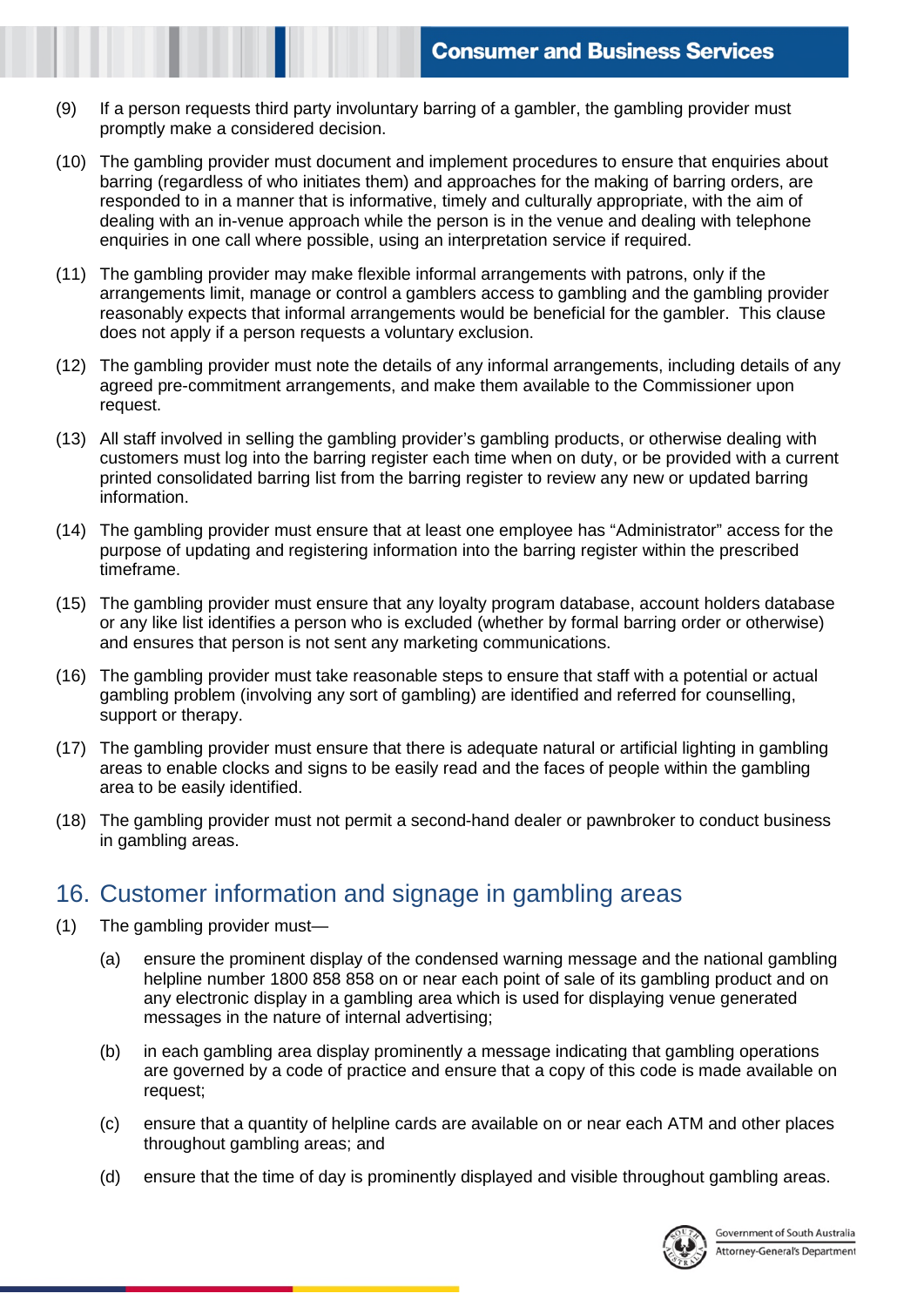- (9) If a person requests third party involuntary barring of a gambler, the gambling provider must promptly make a considered decision.
- (10) The gambling provider must document and implement procedures to ensure that enquiries about barring (regardless of who initiates them) and approaches for the making of barring orders, are responded to in a manner that is informative, timely and culturally appropriate, with the aim of dealing with an in-venue approach while the person is in the venue and dealing with telephone enquiries in one call where possible, using an interpretation service if required.
- (11) The gambling provider may make flexible informal arrangements with patrons, only if the arrangements limit, manage or control a gamblers access to gambling and the gambling provider reasonably expects that informal arrangements would be beneficial for the gambler. This clause does not apply if a person requests a voluntary exclusion.
- (12) The gambling provider must note the details of any informal arrangements, including details of any agreed pre-commitment arrangements, and make them available to the Commissioner upon request.
- (13) All staff involved in selling the gambling provider's gambling products, or otherwise dealing with customers must log into the barring register each time when on duty, or be provided with a current printed consolidated barring list from the barring register to review any new or updated barring information.
- (14) The gambling provider must ensure that at least one employee has "Administrator" access for the purpose of updating and registering information into the barring register within the prescribed timeframe.
- (15) The gambling provider must ensure that any loyalty program database, account holders database or any like list identifies a person who is excluded (whether by formal barring order or otherwise) and ensures that person is not sent any marketing communications.
- (16) The gambling provider must take reasonable steps to ensure that staff with a potential or actual gambling problem (involving any sort of gambling) are identified and referred for counselling, support or therapy.
- (17) The gambling provider must ensure that there is adequate natural or artificial lighting in gambling areas to enable clocks and signs to be easily read and the faces of people within the gambling area to be easily identified.
- (18) The gambling provider must not permit a second-hand dealer or pawnbroker to conduct business in gambling areas.

#### 16. Customer information and signage in gambling areas

- (1) The gambling provider must—
	- (a) ensure the prominent display of the condensed warning message and the national gambling helpline number 1800 858 858 on or near each point of sale of its gambling product and on any electronic display in a gambling area which is used for displaying venue generated messages in the nature of internal advertising;
	- (b) in each gambling area display prominently a message indicating that gambling operations are governed by a code of practice and ensure that a copy of this code is made available on request;
	- (c) ensure that a quantity of helpline cards are available on or near each ATM and other places throughout gambling areas; and
	- (d) ensure that the time of day is prominently displayed and visible throughout gambling areas.

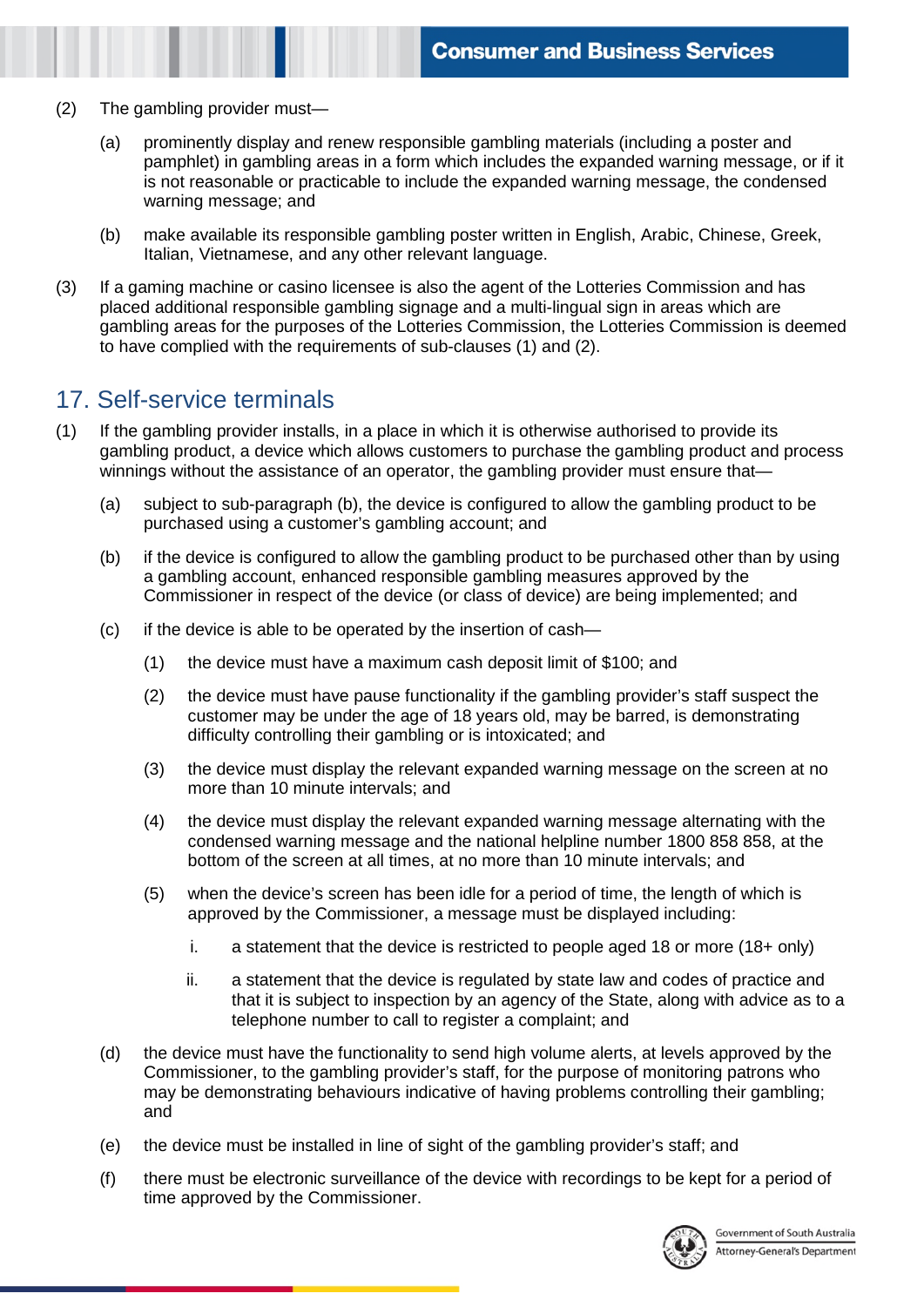- (2) The gambling provider must—
	- (a) prominently display and renew responsible gambling materials (including a poster and pamphlet) in gambling areas in a form which includes the expanded warning message, or if it is not reasonable or practicable to include the expanded warning message, the condensed warning message; and
	- (b) make available its responsible gambling poster written in English, Arabic, Chinese, Greek, Italian, Vietnamese, and any other relevant language.
- (3) If a gaming machine or casino licensee is also the agent of the Lotteries Commission and has placed additional responsible gambling signage and a multi-lingual sign in areas which are gambling areas for the purposes of the Lotteries Commission, the Lotteries Commission is deemed to have complied with the requirements of sub-clauses (1) and (2).

#### 17. Self-service terminals

- (1) If the gambling provider installs, in a place in which it is otherwise authorised to provide its gambling product, a device which allows customers to purchase the gambling product and process winnings without the assistance of an operator, the gambling provider must ensure that—
	- (a) subject to sub-paragraph (b), the device is configured to allow the gambling product to be purchased using a customer's gambling account; and
	- (b) if the device is configured to allow the gambling product to be purchased other than by using a gambling account, enhanced responsible gambling measures approved by the Commissioner in respect of the device (or class of device) are being implemented; and
	- (c) if the device is able to be operated by the insertion of cash—
		- (1) the device must have a maximum cash deposit limit of \$100; and
		- (2) the device must have pause functionality if the gambling provider's staff suspect the customer may be under the age of 18 years old, may be barred, is demonstrating difficulty controlling their gambling or is intoxicated; and
		- (3) the device must display the relevant expanded warning message on the screen at no more than 10 minute intervals; and
		- (4) the device must display the relevant expanded warning message alternating with the condensed warning message and the national helpline number 1800 858 858, at the bottom of the screen at all times, at no more than 10 minute intervals; and
		- (5) when the device's screen has been idle for a period of time, the length of which is approved by the Commissioner, a message must be displayed including:
			- i. a statement that the device is restricted to people aged 18 or more  $(18+ \text{ only})$
			- ii. a statement that the device is regulated by state law and codes of practice and that it is subject to inspection by an agency of the State, along with advice as to a telephone number to call to register a complaint; and
	- (d) the device must have the functionality to send high volume alerts, at levels approved by the Commissioner, to the gambling provider's staff, for the purpose of monitoring patrons who may be demonstrating behaviours indicative of having problems controlling their gambling; and
	- (e) the device must be installed in line of sight of the gambling provider's staff; and
	- (f) there must be electronic surveillance of the device with recordings to be kept for a period of time approved by the Commissioner.

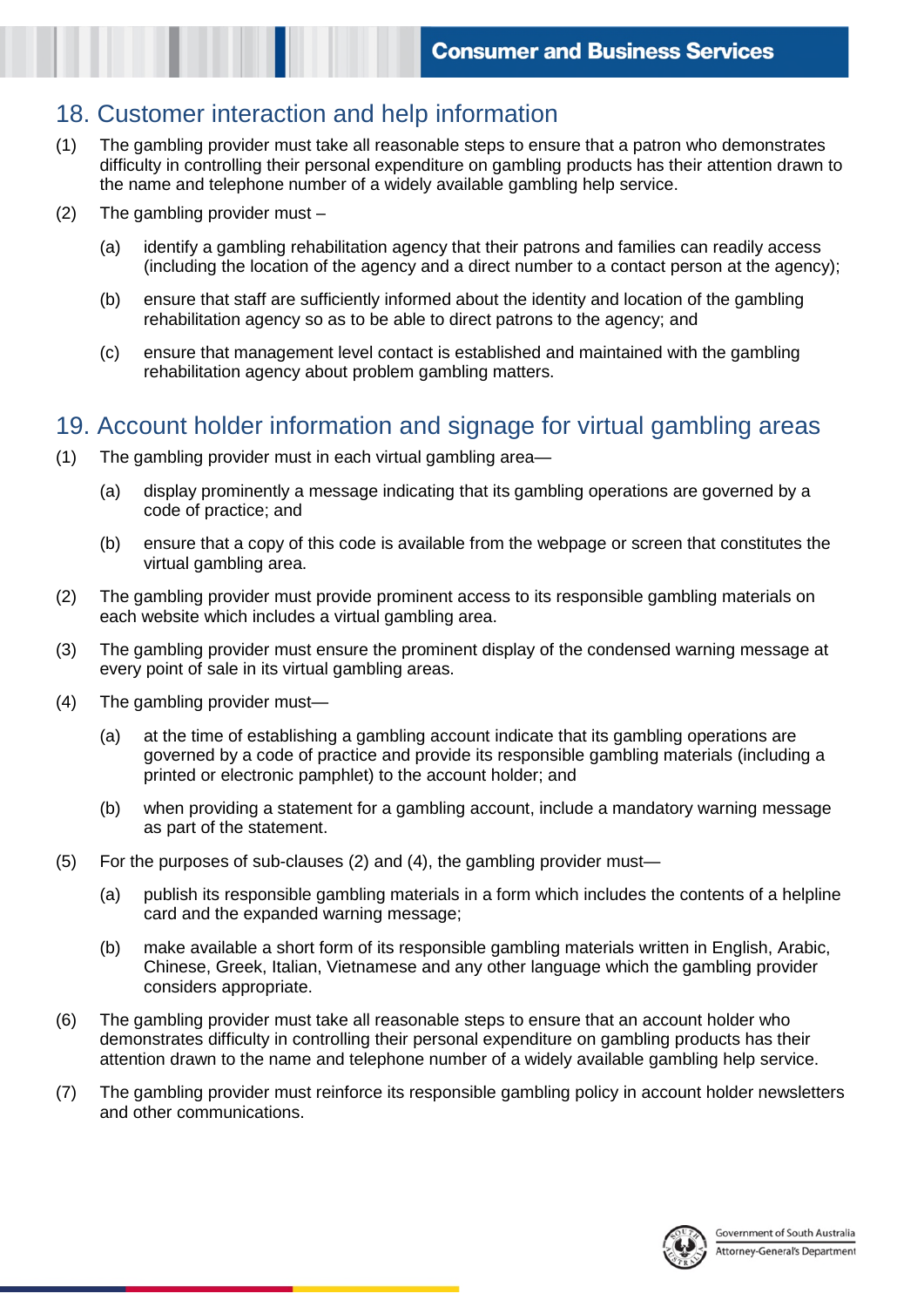# 18. Customer interaction and help information

- (1) The gambling provider must take all reasonable steps to ensure that a patron who demonstrates difficulty in controlling their personal expenditure on gambling products has their attention drawn to the name and telephone number of a widely available gambling help service.
- (2) The gambling provider must
	- (a) identify a gambling rehabilitation agency that their patrons and families can readily access (including the location of the agency and a direct number to a contact person at the agency);
	- (b) ensure that staff are sufficiently informed about the identity and location of the gambling rehabilitation agency so as to be able to direct patrons to the agency; and
	- (c) ensure that management level contact is established and maintained with the gambling rehabilitation agency about problem gambling matters.

### 19. Account holder information and signage for virtual gambling areas

- (1) The gambling provider must in each virtual gambling area—
	- (a) display prominently a message indicating that its gambling operations are governed by a code of practice; and
	- (b) ensure that a copy of this code is available from the webpage or screen that constitutes the virtual gambling area.
- (2) The gambling provider must provide prominent access to its responsible gambling materials on each website which includes a virtual gambling area.
- (3) The gambling provider must ensure the prominent display of the condensed warning message at every point of sale in its virtual gambling areas.
- (4) The gambling provider must—
	- (a) at the time of establishing a gambling account indicate that its gambling operations are governed by a code of practice and provide its responsible gambling materials (including a printed or electronic pamphlet) to the account holder; and
	- (b) when providing a statement for a gambling account, include a mandatory warning message as part of the statement.
- (5) For the purposes of sub-clauses (2) and (4), the gambling provider must—
	- (a) publish its responsible gambling materials in a form which includes the contents of a helpline card and the expanded warning message;
	- (b) make available a short form of its responsible gambling materials written in English, Arabic, Chinese, Greek, Italian, Vietnamese and any other language which the gambling provider considers appropriate.
- (6) The gambling provider must take all reasonable steps to ensure that an account holder who demonstrates difficulty in controlling their personal expenditure on gambling products has their attention drawn to the name and telephone number of a widely available gambling help service.
- (7) The gambling provider must reinforce its responsible gambling policy in account holder newsletters and other communications.

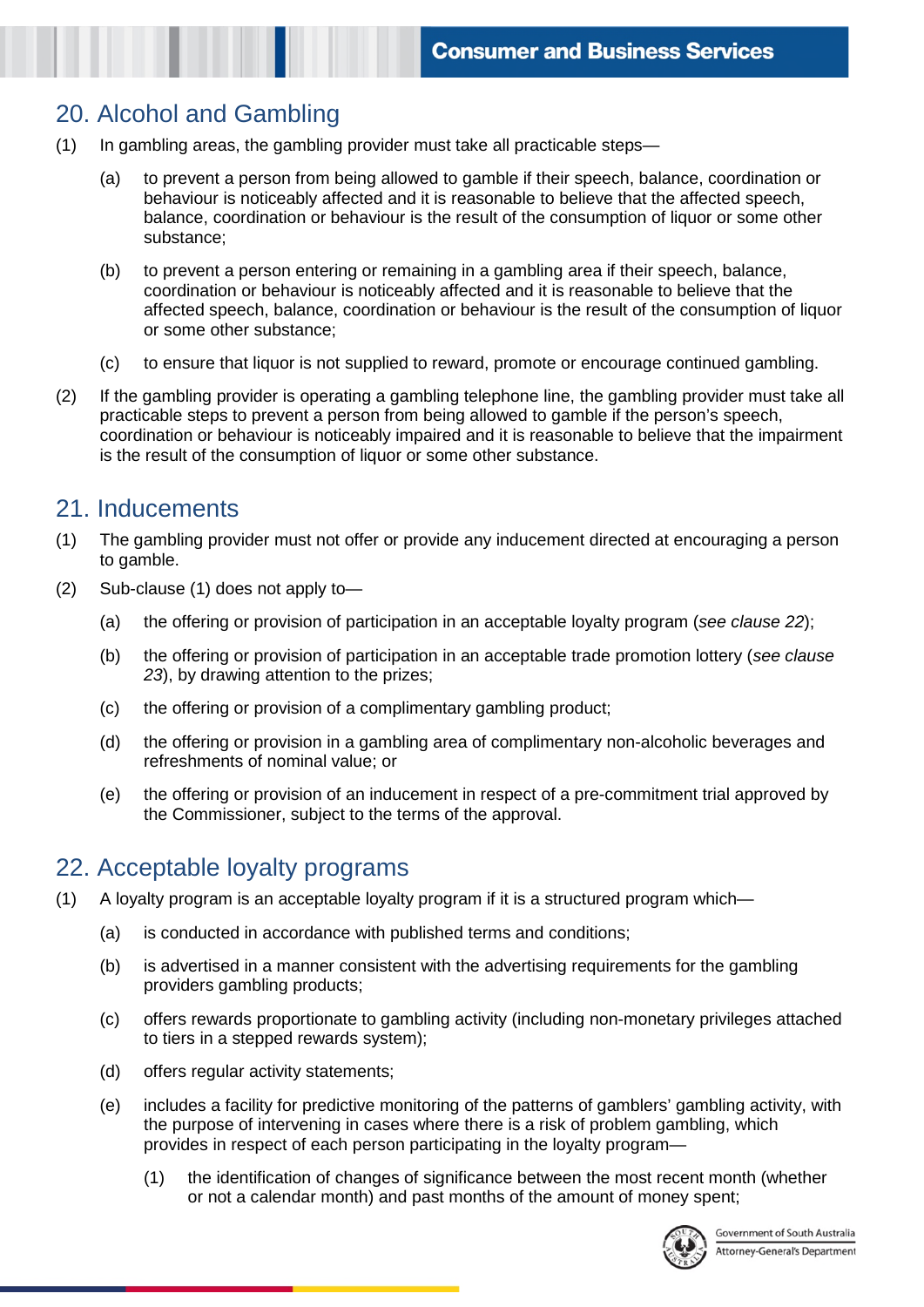# 20. Alcohol and Gambling

- (1) In gambling areas, the gambling provider must take all practicable steps—
	- (a) to prevent a person from being allowed to gamble if their speech, balance, coordination or behaviour is noticeably affected and it is reasonable to believe that the affected speech, balance, coordination or behaviour is the result of the consumption of liquor or some other substance;
	- (b) to prevent a person entering or remaining in a gambling area if their speech, balance, coordination or behaviour is noticeably affected and it is reasonable to believe that the affected speech, balance, coordination or behaviour is the result of the consumption of liquor or some other substance;
	- (c) to ensure that liquor is not supplied to reward, promote or encourage continued gambling.
- (2) If the gambling provider is operating a gambling telephone line, the gambling provider must take all practicable steps to prevent a person from being allowed to gamble if the person's speech, coordination or behaviour is noticeably impaired and it is reasonable to believe that the impairment is the result of the consumption of liquor or some other substance.

#### 21. Inducements

- (1) The gambling provider must not offer or provide any inducement directed at encouraging a person to gamble.
- (2) Sub-clause (1) does not apply to—
	- (a) the offering or provision of participation in an acceptable loyalty program (*see clause 22*);
	- (b) the offering or provision of participation in an acceptable trade promotion lottery (*see clause 23*), by drawing attention to the prizes;
	- (c) the offering or provision of a complimentary gambling product;
	- (d) the offering or provision in a gambling area of complimentary non-alcoholic beverages and refreshments of nominal value; or
	- (e) the offering or provision of an inducement in respect of a pre-commitment trial approved by the Commissioner, subject to the terms of the approval.

#### 22. Acceptable loyalty programs

- (1) A loyalty program is an acceptable loyalty program if it is a structured program which—
	- (a) is conducted in accordance with published terms and conditions;
	- (b) is advertised in a manner consistent with the advertising requirements for the gambling providers gambling products;
	- (c) offers rewards proportionate to gambling activity (including non-monetary privileges attached to tiers in a stepped rewards system);
	- (d) offers regular activity statements;
	- (e) includes a facility for predictive monitoring of the patterns of gamblers' gambling activity, with the purpose of intervening in cases where there is a risk of problem gambling, which provides in respect of each person participating in the loyalty program—
		- (1) the identification of changes of significance between the most recent month (whether or not a calendar month) and past months of the amount of money spent;

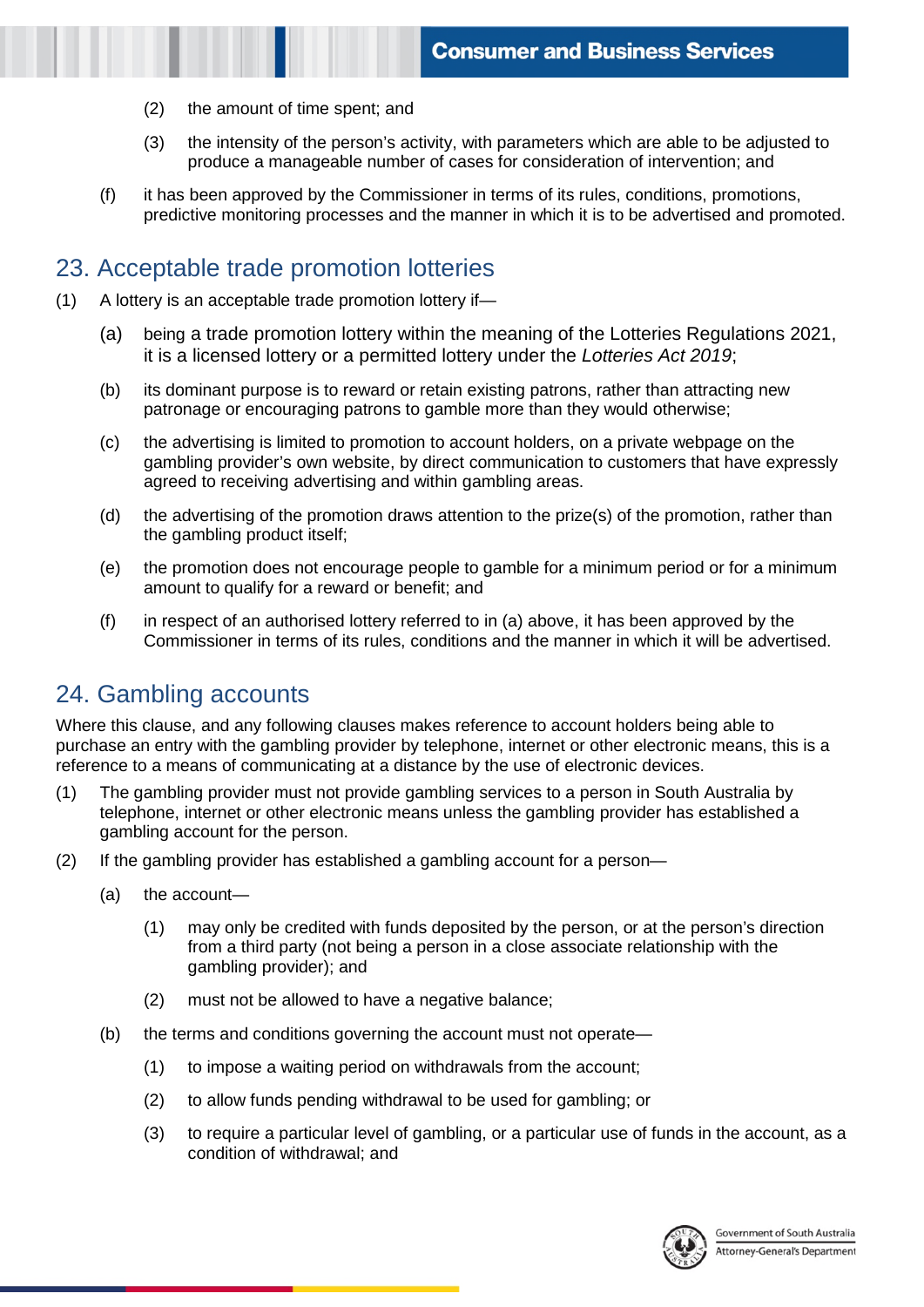- (2) the amount of time spent; and
- (3) the intensity of the person's activity, with parameters which are able to be adjusted to produce a manageable number of cases for consideration of intervention; and
- (f) it has been approved by the Commissioner in terms of its rules, conditions, promotions, predictive monitoring processes and the manner in which it is to be advertised and promoted.

#### 23. Acceptable trade promotion lotteries

- (1) A lottery is an acceptable trade promotion lottery if—
	- (a) being a trade promotion lottery within the meaning of the Lotteries Regulations 2021, it is a licensed lottery or a permitted lottery under the *Lotteries Act 2019*;
	- (b) its dominant purpose is to reward or retain existing patrons, rather than attracting new patronage or encouraging patrons to gamble more than they would otherwise;
	- (c) the advertising is limited to promotion to account holders, on a private webpage on the gambling provider's own website, by direct communication to customers that have expressly agreed to receiving advertising and within gambling areas.
	- (d) the advertising of the promotion draws attention to the prize(s) of the promotion, rather than the gambling product itself;
	- (e) the promotion does not encourage people to gamble for a minimum period or for a minimum amount to qualify for a reward or benefit; and
	- (f) in respect of an authorised lottery referred to in (a) above, it has been approved by the Commissioner in terms of its rules, conditions and the manner in which it will be advertised.

# 24. Gambling accounts

Where this clause, and any following clauses makes reference to account holders being able to purchase an entry with the gambling provider by telephone, internet or other electronic means, this is a reference to a means of communicating at a distance by the use of electronic devices.

- (1) The gambling provider must not provide gambling services to a person in South Australia by telephone, internet or other electronic means unless the gambling provider has established a gambling account for the person.
- (2) If the gambling provider has established a gambling account for a person—
	- (a) the account—
		- (1) may only be credited with funds deposited by the person, or at the person's direction from a third party (not being a person in a close associate relationship with the gambling provider); and
		- (2) must not be allowed to have a negative balance;
	- (b) the terms and conditions governing the account must not operate—
		- (1) to impose a waiting period on withdrawals from the account;
		- (2) to allow funds pending withdrawal to be used for gambling; or
		- (3) to require a particular level of gambling, or a particular use of funds in the account, as a condition of withdrawal; and

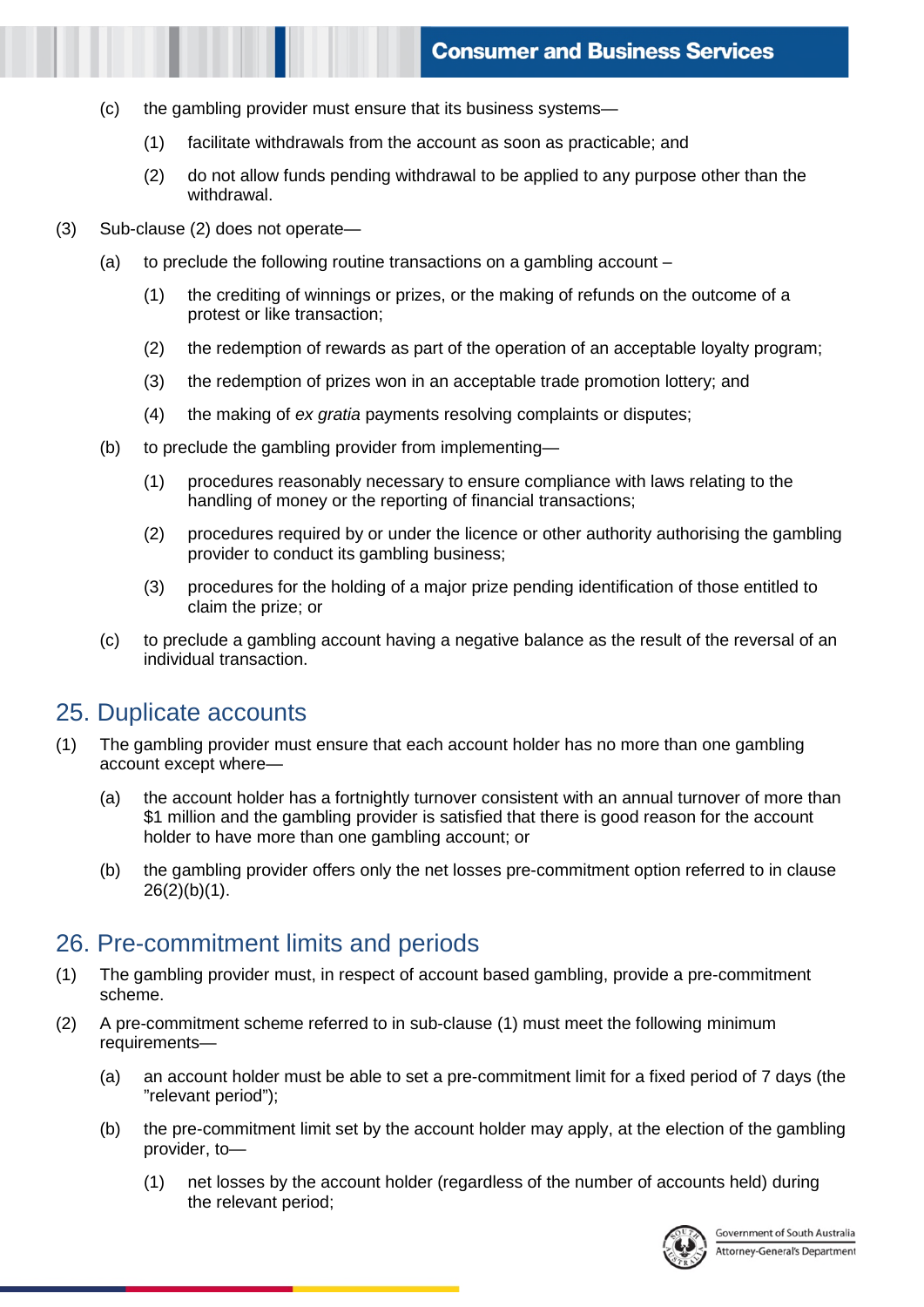- (c) the gambling provider must ensure that its business systems—
	- (1) facilitate withdrawals from the account as soon as practicable; and
	- (2) do not allow funds pending withdrawal to be applied to any purpose other than the withdrawal.
- (3) Sub-clause (2) does not operate—
	- (a) to preclude the following routine transactions on a gambling account
		- (1) the crediting of winnings or prizes, or the making of refunds on the outcome of a protest or like transaction;
		- (2) the redemption of rewards as part of the operation of an acceptable loyalty program;
		- (3) the redemption of prizes won in an acceptable trade promotion lottery; and
		- (4) the making of *ex gratia* payments resolving complaints or disputes;
	- (b) to preclude the gambling provider from implementing—
		- (1) procedures reasonably necessary to ensure compliance with laws relating to the handling of money or the reporting of financial transactions;
		- (2) procedures required by or under the licence or other authority authorising the gambling provider to conduct its gambling business;
		- (3) procedures for the holding of a major prize pending identification of those entitled to claim the prize; or
	- (c) to preclude a gambling account having a negative balance as the result of the reversal of an individual transaction.

#### 25. Duplicate accounts

- (1) The gambling provider must ensure that each account holder has no more than one gambling account except where—
	- (a) the account holder has a fortnightly turnover consistent with an annual turnover of more than \$1 million and the gambling provider is satisfied that there is good reason for the account holder to have more than one gambling account; or
	- (b) the gambling provider offers only the net losses pre-commitment option referred to in clause 26(2)(b)(1).

#### 26. Pre-commitment limits and periods

- (1) The gambling provider must, in respect of account based gambling, provide a pre-commitment scheme.
- (2) A pre-commitment scheme referred to in sub-clause (1) must meet the following minimum requirements—
	- (a) an account holder must be able to set a pre-commitment limit for a fixed period of 7 days (the "relevant period");
	- (b) the pre-commitment limit set by the account holder may apply, at the election of the gambling provider, to—
		- (1) net losses by the account holder (regardless of the number of accounts held) during the relevant period;

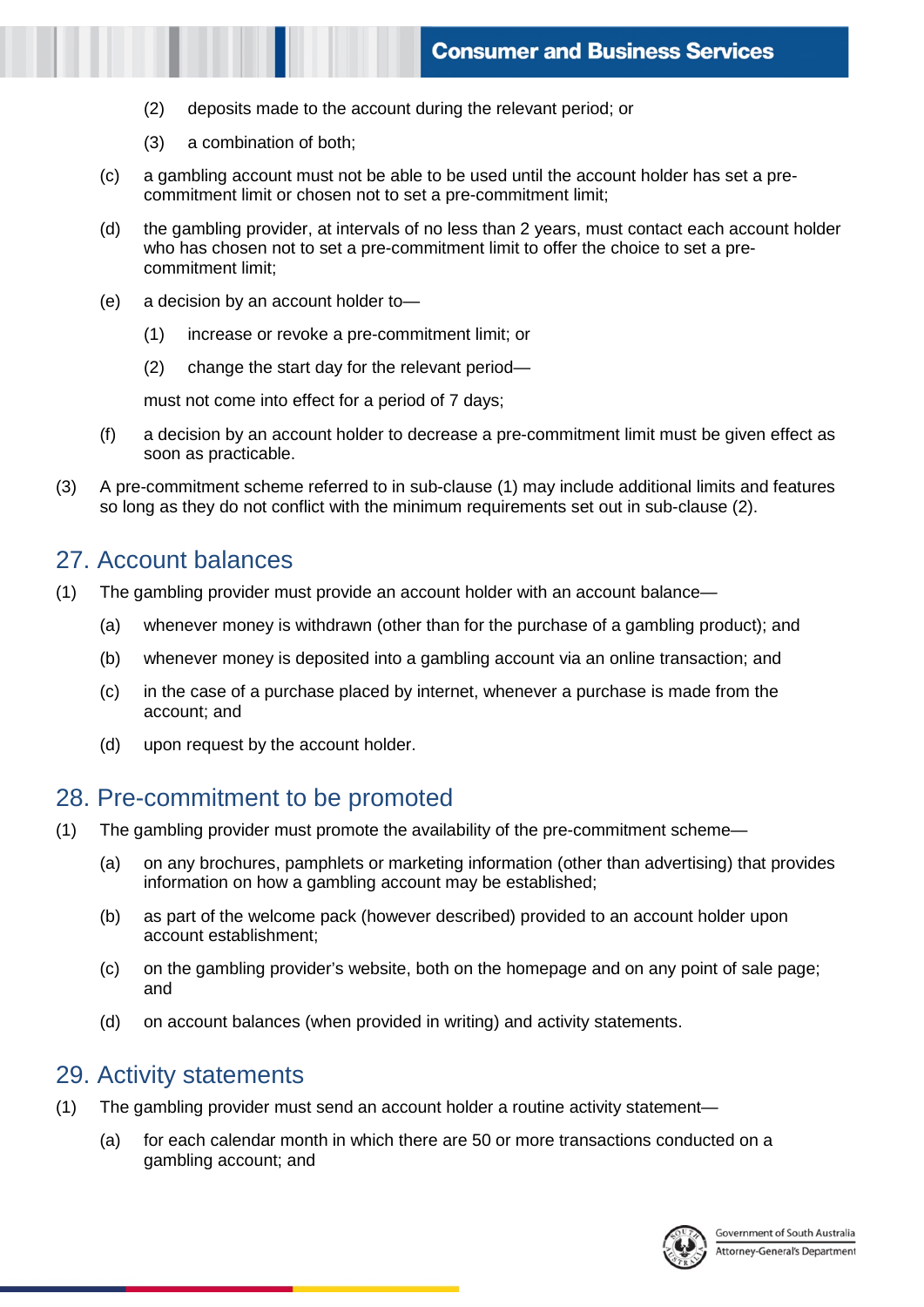- (2) deposits made to the account during the relevant period; or
- (3) a combination of both;
- (c) a gambling account must not be able to be used until the account holder has set a precommitment limit or chosen not to set a pre-commitment limit;
- (d) the gambling provider, at intervals of no less than 2 years, must contact each account holder who has chosen not to set a pre-commitment limit to offer the choice to set a precommitment limit;
- (e) a decision by an account holder to—
	- (1) increase or revoke a pre-commitment limit; or
	- (2) change the start day for the relevant period—

must not come into effect for a period of 7 days;

- (f) a decision by an account holder to decrease a pre-commitment limit must be given effect as soon as practicable.
- (3) A pre-commitment scheme referred to in sub-clause (1) may include additional limits and features so long as they do not conflict with the minimum requirements set out in sub-clause (2).

#### 27. Account balances

- (1) The gambling provider must provide an account holder with an account balance—
	- (a) whenever money is withdrawn (other than for the purchase of a gambling product); and
	- (b) whenever money is deposited into a gambling account via an online transaction; and
	- (c) in the case of a purchase placed by internet, whenever a purchase is made from the account; and
	- (d) upon request by the account holder.

#### 28. Pre-commitment to be promoted

- (1) The gambling provider must promote the availability of the pre-commitment scheme—
	- (a) on any brochures, pamphlets or marketing information (other than advertising) that provides information on how a gambling account may be established;
	- (b) as part of the welcome pack (however described) provided to an account holder upon account establishment;
	- (c) on the gambling provider's website, both on the homepage and on any point of sale page; and
	- (d) on account balances (when provided in writing) and activity statements.

#### 29. Activity statements

- (1) The gambling provider must send an account holder a routine activity statement—
	- (a) for each calendar month in which there are 50 or more transactions conducted on a gambling account; and

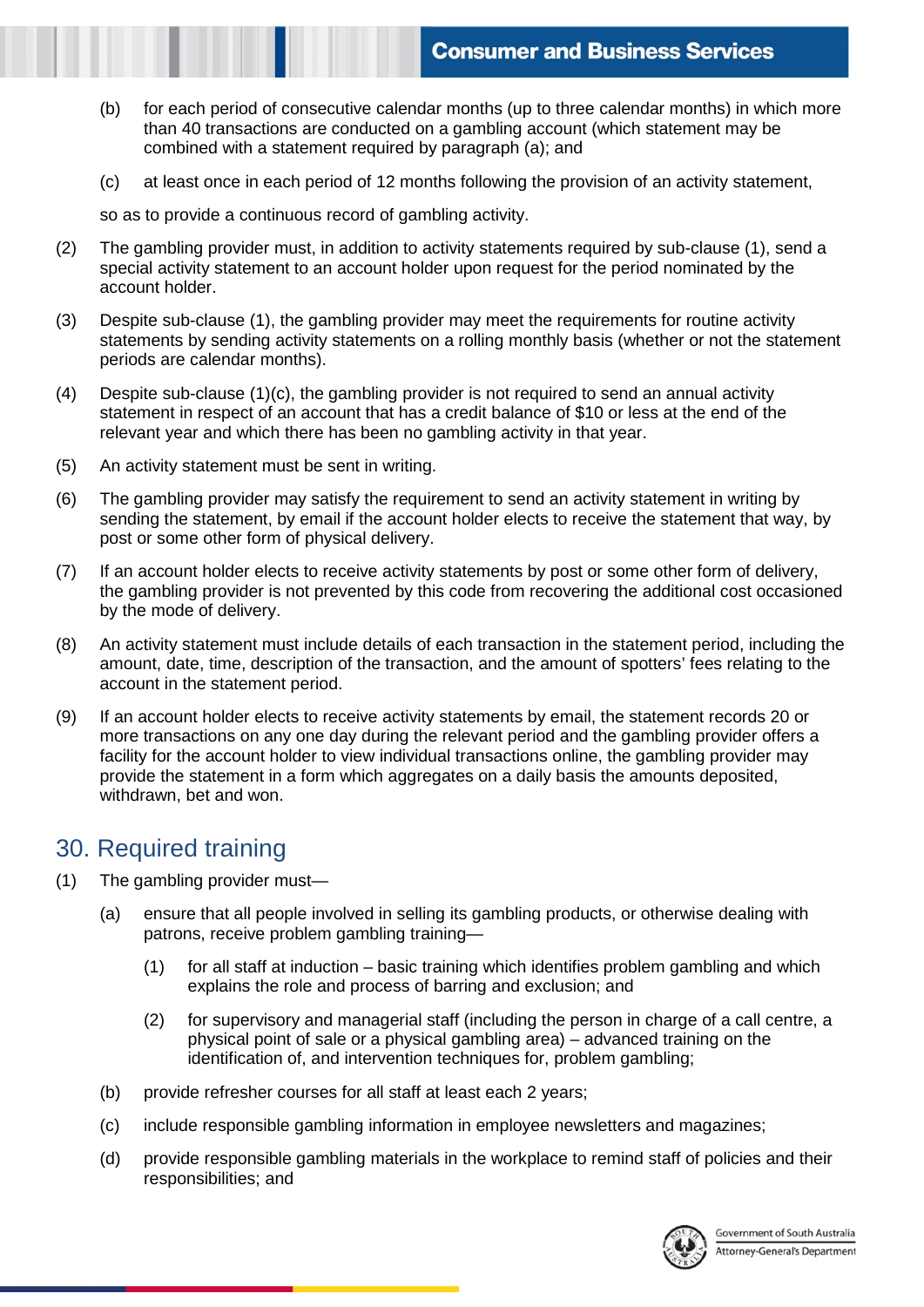- (b) for each period of consecutive calendar months (up to three calendar months) in which more than 40 transactions are conducted on a gambling account (which statement may be combined with a statement required by paragraph (a); and
- (c) at least once in each period of 12 months following the provision of an activity statement,

so as to provide a continuous record of gambling activity.

- (2) The gambling provider must, in addition to activity statements required by sub-clause (1), send a special activity statement to an account holder upon request for the period nominated by the account holder.
- (3) Despite sub-clause (1), the gambling provider may meet the requirements for routine activity statements by sending activity statements on a rolling monthly basis (whether or not the statement periods are calendar months).
- (4) Despite sub-clause (1)(c), the gambling provider is not required to send an annual activity statement in respect of an account that has a credit balance of \$10 or less at the end of the relevant year and which there has been no gambling activity in that year.
- (5) An activity statement must be sent in writing.
- (6) The gambling provider may satisfy the requirement to send an activity statement in writing by sending the statement, by email if the account holder elects to receive the statement that way, by post or some other form of physical delivery.
- (7) If an account holder elects to receive activity statements by post or some other form of delivery, the gambling provider is not prevented by this code from recovering the additional cost occasioned by the mode of delivery.
- (8) An activity statement must include details of each transaction in the statement period, including the amount, date, time, description of the transaction, and the amount of spotters' fees relating to the account in the statement period.
- (9) If an account holder elects to receive activity statements by email, the statement records 20 or more transactions on any one day during the relevant period and the gambling provider offers a facility for the account holder to view individual transactions online, the gambling provider may provide the statement in a form which aggregates on a daily basis the amounts deposited, withdrawn, bet and won.

#### 30. Required training

- (1) The gambling provider must—
	- (a) ensure that all people involved in selling its gambling products, or otherwise dealing with patrons, receive problem gambling training—
		- (1) for all staff at induction basic training which identifies problem gambling and which explains the role and process of barring and exclusion; and
		- (2) for supervisory and managerial staff (including the person in charge of a call centre, a physical point of sale or a physical gambling area) – advanced training on the identification of, and intervention techniques for, problem gambling;
	- (b) provide refresher courses for all staff at least each 2 years;
	- (c) include responsible gambling information in employee newsletters and magazines;
	- (d) provide responsible gambling materials in the workplace to remind staff of policies and their responsibilities; and

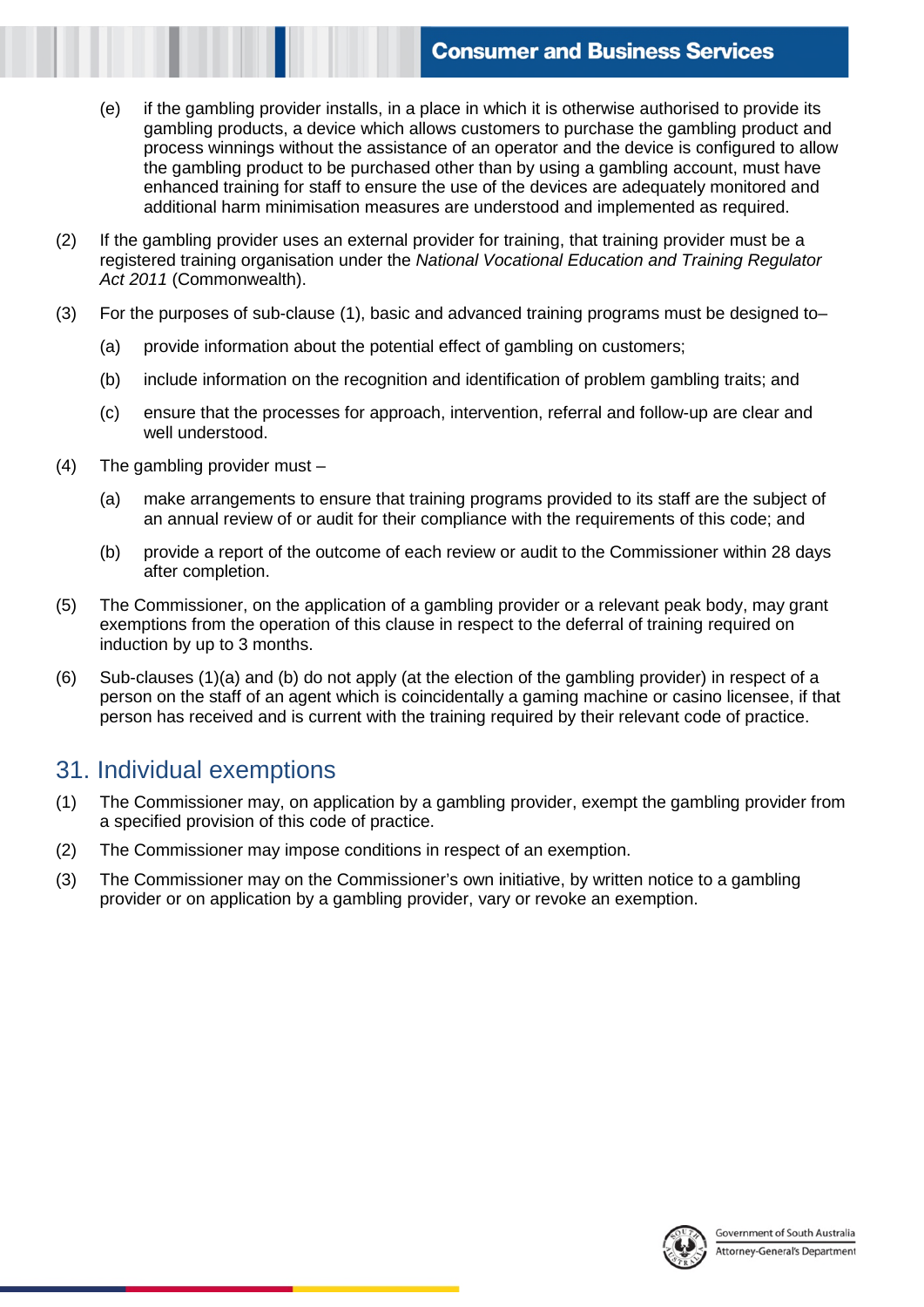- (e) if the gambling provider installs, in a place in which it is otherwise authorised to provide its gambling products, a device which allows customers to purchase the gambling product and process winnings without the assistance of an operator and the device is configured to allow the gambling product to be purchased other than by using a gambling account, must have enhanced training for staff to ensure the use of the devices are adequately monitored and additional harm minimisation measures are understood and implemented as required.
- (2) If the gambling provider uses an external provider for training, that training provider must be a registered training organisation under the *National Vocational Education and Training Regulator Act 2011* (Commonwealth).
- (3) For the purposes of sub-clause (1), basic and advanced training programs must be designed to–
	- (a) provide information about the potential effect of gambling on customers;
	- (b) include information on the recognition and identification of problem gambling traits; and
	- (c) ensure that the processes for approach, intervention, referral and follow-up are clear and well understood.
- (4) The gambling provider must
	- (a) make arrangements to ensure that training programs provided to its staff are the subject of an annual review of or audit for their compliance with the requirements of this code; and
	- (b) provide a report of the outcome of each review or audit to the Commissioner within 28 days after completion.
- (5) The Commissioner, on the application of a gambling provider or a relevant peak body, may grant exemptions from the operation of this clause in respect to the deferral of training required on induction by up to 3 months.
- (6) Sub-clauses (1)(a) and (b) do not apply (at the election of the gambling provider) in respect of a person on the staff of an agent which is coincidentally a gaming machine or casino licensee, if that person has received and is current with the training required by their relevant code of practice.

#### 31. Individual exemptions

- (1) The Commissioner may, on application by a gambling provider, exempt the gambling provider from a specified provision of this code of practice.
- (2) The Commissioner may impose conditions in respect of an exemption.
- (3) The Commissioner may on the Commissioner's own initiative, by written notice to a gambling provider or on application by a gambling provider, vary or revoke an exemption.

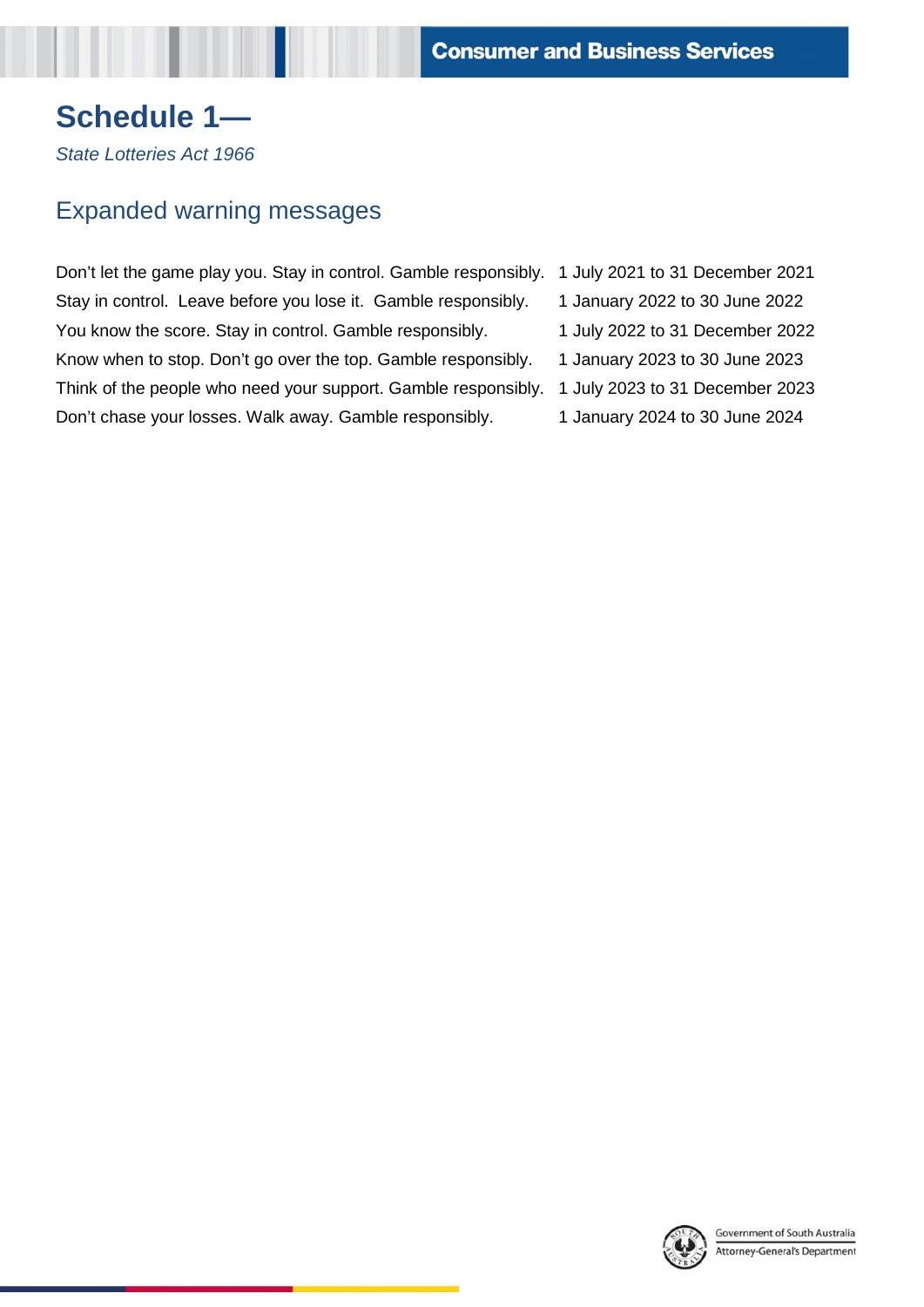# **Schedule 1—**

*State Lotteries Act 1966* 

# Expanded warning messages

Don't let the game play you. Stay in control. Gamble responsibly. 1 July 2021 to 31 December 2021 Stay in control. Leave before you lose it. Gamble responsibly. 1 January 2022 to 30 June 2022 You know the score. Stay in control. Gamble responsibly. 1 July 2022 to 31 December 2022 Know when to stop. Don't go over the top. Gamble responsibly. 1 January 2023 to 30 June 2023 Think of the people who need your support. Gamble responsibly. 1 July 2023 to 31 December 2023 Don't chase your losses. Walk away. Gamble responsibly. 1 January 2024 to 30 June 2024

- 
- 
- 
- 
- 
- 

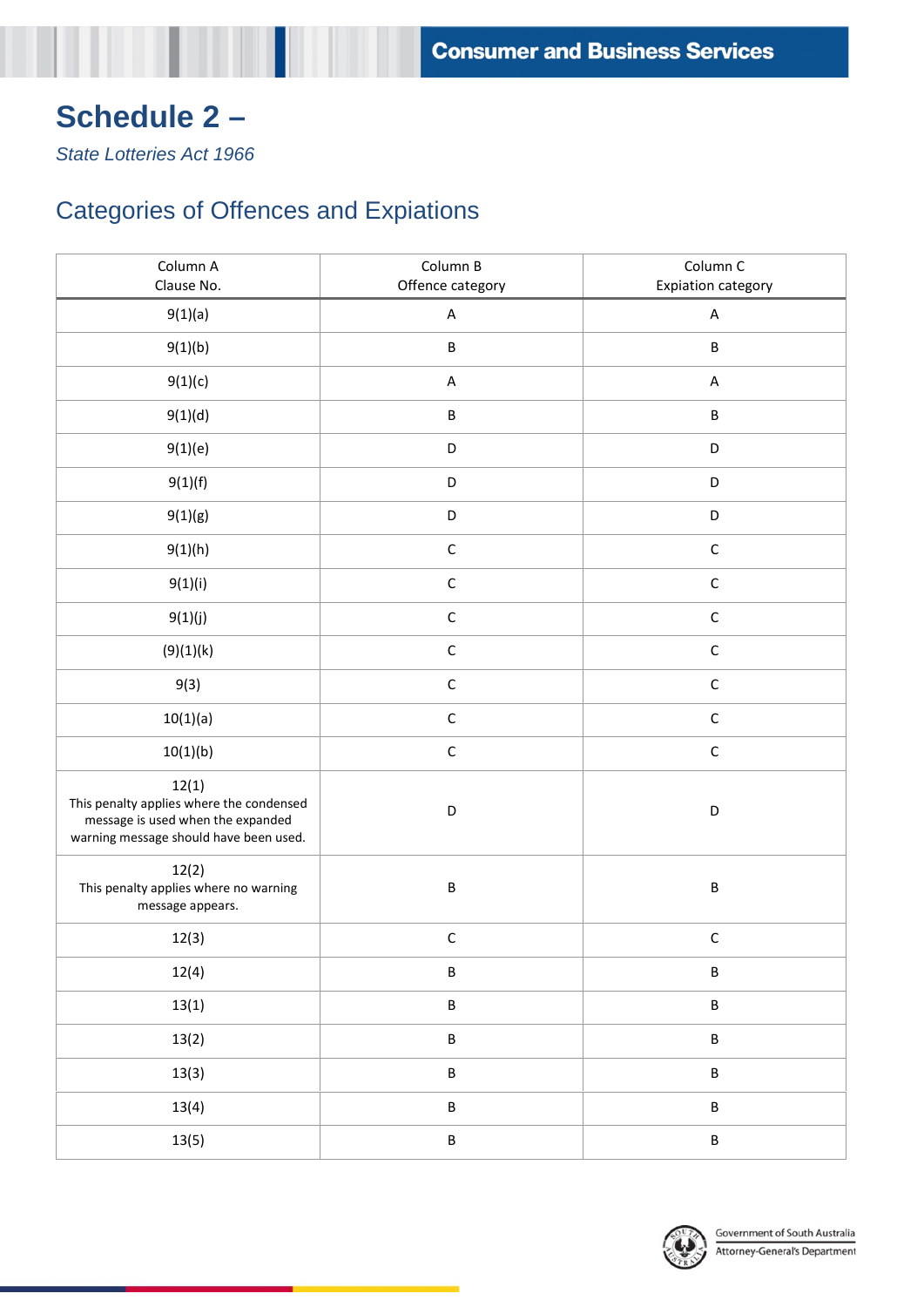# **Schedule 2 –**

*State Lotteries Act 1966* 

# Categories of Offences and Expiations

| Column A<br>Clause No.                                                                                                           | Column B<br>Offence category | Column C<br><b>Expiation category</b> |
|----------------------------------------------------------------------------------------------------------------------------------|------------------------------|---------------------------------------|
| 9(1)(a)                                                                                                                          | A                            | A                                     |
| 9(1)(b)                                                                                                                          | B                            | $\sf B$                               |
| 9(1)(c)                                                                                                                          | $\boldsymbol{\mathsf{A}}$    | $\sf A$                               |
| 9(1)(d)                                                                                                                          | B                            | $\sf B$                               |
| 9(1)(e)                                                                                                                          | D                            | D                                     |
| 9(1)(f)                                                                                                                          | $\mathsf D$                  | D                                     |
| 9(1)(g)                                                                                                                          | D                            | D                                     |
| 9(1)(h)                                                                                                                          | $\mathsf C$                  | $\mathsf C$                           |
| 9(1)(i)                                                                                                                          | $\mathsf C$                  | $\mathsf C$                           |
| 9(1)(j)                                                                                                                          | $\mathsf C$                  | $\mathsf C$                           |
| (9)(1)(k)                                                                                                                        | $\mathsf C$                  | $\mathsf C$                           |
| 9(3)                                                                                                                             | $\mathsf C$                  | $\mathsf C$                           |
| 10(1)(a)                                                                                                                         | $\mathsf C$                  | $\mathsf C$                           |
| 10(1)(b)                                                                                                                         | $\mathsf C$                  | $\mathsf C$                           |
| 12(1)<br>This penalty applies where the condensed<br>message is used when the expanded<br>warning message should have been used. | D                            | $\mathsf D$                           |
| 12(2)<br>This penalty applies where no warning<br>message appears.                                                               | B                            | $\sf B$                               |
| 12(3)                                                                                                                            | $\mathsf C$                  | $\mathsf C$                           |
| 12(4)                                                                                                                            | B                            | $\sf B$                               |
| 13(1)                                                                                                                            | B                            | $\sf B$                               |
| 13(2)                                                                                                                            | B                            | $\sf B$                               |
| 13(3)                                                                                                                            | B                            | $\sf B$                               |
| 13(4)                                                                                                                            | B                            | $\sf B$                               |
| 13(5)                                                                                                                            | B                            | $\sf B$                               |

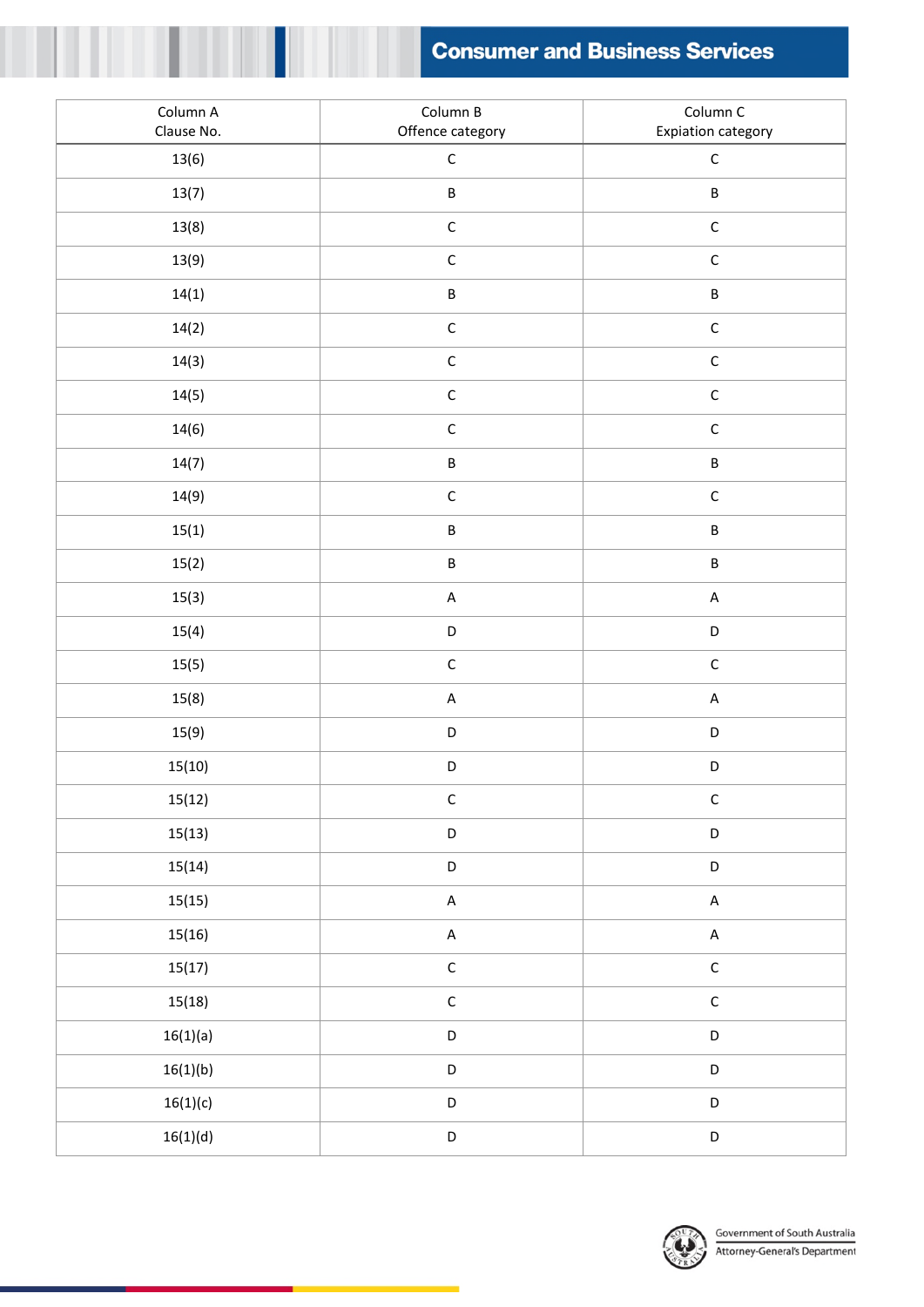

| Column A<br>Clause No. | Column B<br>Offence category | Column C<br>Expiation category                  |
|------------------------|------------------------------|-------------------------------------------------|
| 13(6)                  | $\mathsf C$                  | $\mathsf C$                                     |
| 13(7)                  | $\sf B$                      | $\sf B$                                         |
| 13(8)                  | $\mathsf C$                  | $\mathsf C$                                     |
| 13(9)                  | $\mathsf C$                  | $\mathsf C$                                     |
| 14(1)                  | $\sf B$                      | $\sf B$                                         |
| 14(2)                  | $\mathsf C$                  | $\mathsf C$                                     |
| 14(3)                  | $\mathsf C$                  | $\mathsf C$                                     |
| 14(5)                  | $\mathsf C$                  | $\mathsf C$                                     |
| 14(6)                  | $\mathsf C$                  | $\mathsf C$                                     |
| 14(7)                  | $\sf B$                      | $\sf B$                                         |
| 14(9)                  | $\mathsf C$                  | $\mathsf C$                                     |
| 15(1)                  | B                            | $\sf B$                                         |
| 15(2)                  | $\sf B$                      | $\sf B$                                         |
| 15(3)                  | $\mathsf A$                  | $\sf A$                                         |
| 15(4)                  | $\mathsf D$                  | $\mathsf D$                                     |
| 15(5)                  | $\mathsf C$                  | $\mathsf C$                                     |
| 15(8)                  | $\mathsf A$                  | $\sf A$                                         |
| 15(9)                  | $\mathsf D$                  | $\mathsf D$                                     |
| 15(10)                 | D                            | $\mathsf D$                                     |
| 15(12)                 | $\mathsf C$                  | $\mathsf C$                                     |
| 15(13)                 | D                            | $\mathsf D$                                     |
| 15(14)                 | D                            | $\mathsf D$                                     |
| 15(15)                 | $\mathsf A$                  | $\mathsf A$                                     |
| 15(16)                 | $\mathsf A$                  | $\sf A$                                         |
| 15(17)                 | $\mathsf C$                  | $\mathsf C$                                     |
| 15(18)                 | $\mathsf C$                  | $\mathsf C$                                     |
| 16(1)(a)               | D                            | $\mathsf D$                                     |
| 16(1)(b)               | D                            | $\mathsf D$                                     |
| 16(1)(c)               | D                            | $\mathsf D$                                     |
| 16(1)(d)               | $\mathsf D$                  | $\begin{array}{c} \n \mathsf{D} \n \end{array}$ |

I